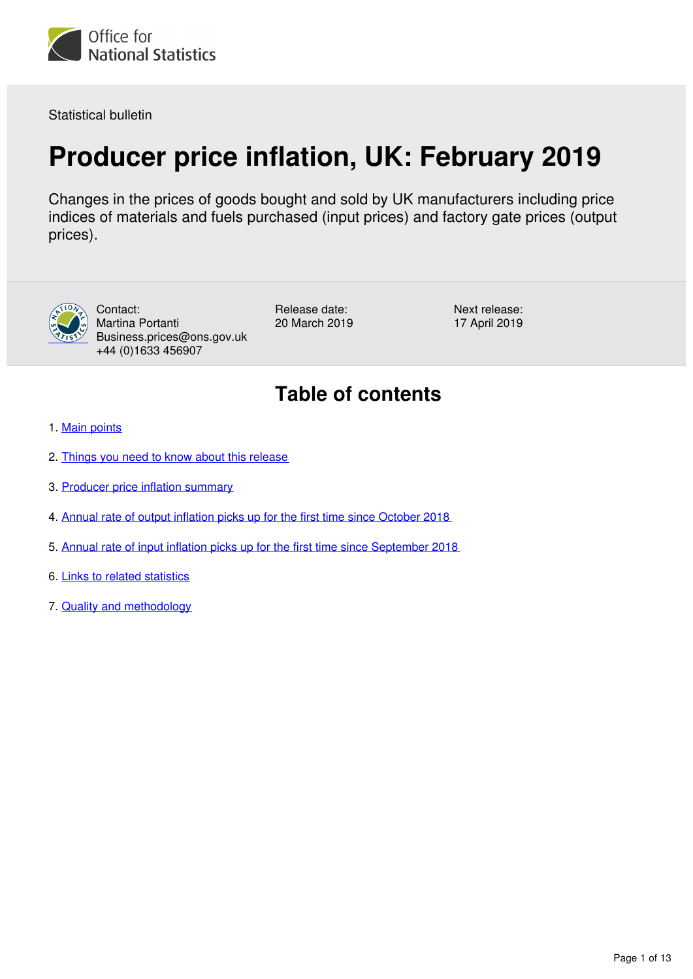<span id="page-0-0"></span>

Statistical bulletin

## **Producer price inflation, UK: February 2019**

Changes in the prices of goods bought and sold by UK manufacturers including price indices of materials and fuels purchased (input prices) and factory gate prices (output prices).



Contact: Martina Portanti Business.prices@ons.gov.uk +44 (0)1633 456907

Release date: 20 March 2019 Next release: 17 April 2019

## **Table of contents**

- 1. [Main points](#page-1-0)
- 2. [Things you need to know about this release](#page-1-1)
- 3. [Producer price inflation summary](#page-2-0)
- 4. [Annual rate of output inflation picks up for the first time since October 2018](#page-2-1)
- 5. [Annual rate of input inflation picks up for the first time since September 2018](#page-6-0)
- 6. [Links to related statistics](#page-11-0)
- 7. [Quality and methodology](#page-12-0)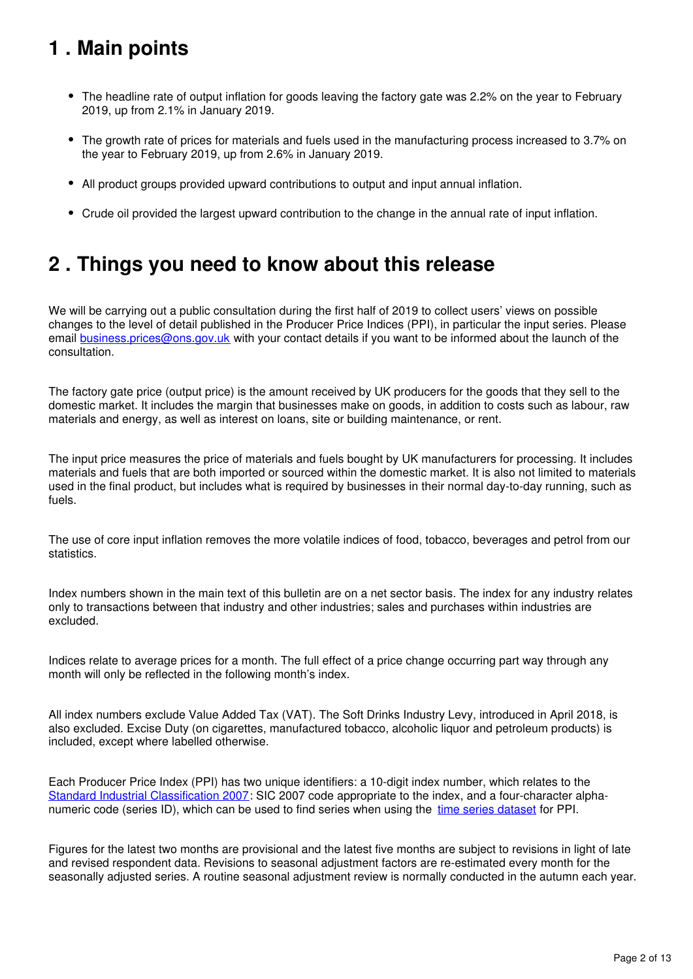## <span id="page-1-0"></span>**1 . Main points**

- The headline rate of output inflation for goods leaving the factory gate was 2.2% on the year to February 2019, up from 2.1% in January 2019.
- The growth rate of prices for materials and fuels used in the manufacturing process increased to 3.7% on the year to February 2019, up from 2.6% in January 2019.
- All product groups provided upward contributions to output and input annual inflation.
- Crude oil provided the largest upward contribution to the change in the annual rate of input inflation.

## <span id="page-1-1"></span>**2 . Things you need to know about this release**

We will be carrying out a public consultation during the first half of 2019 to collect users' views on possible changes to the level of detail published in the Producer Price Indices (PPI), in particular the input series. Please email **[business.prices@ons.gov.uk](http://mailto:business.prices@ons.gov.uk)** with your contact details if you want to be informed about the launch of the consultation.

The factory gate price (output price) is the amount received by UK producers for the goods that they sell to the domestic market. It includes the margin that businesses make on goods, in addition to costs such as labour, raw materials and energy, as well as interest on loans, site or building maintenance, or rent.

The input price measures the price of materials and fuels bought by UK manufacturers for processing. It includes materials and fuels that are both imported or sourced within the domestic market. It is also not limited to materials used in the final product, but includes what is required by businesses in their normal day-to-day running, such as fuels.

The use of core input inflation removes the more volatile indices of food, tobacco, beverages and petrol from our statistics.

Index numbers shown in the main text of this bulletin are on a net sector basis. The index for any industry relates only to transactions between that industry and other industries; sales and purchases within industries are excluded.

Indices relate to average prices for a month. The full effect of a price change occurring part way through any month will only be reflected in the following month's index.

All index numbers exclude Value Added Tax (VAT). The Soft Drinks Industry Levy, introduced in April 2018, is also excluded. Excise Duty (on cigarettes, manufactured tobacco, alcoholic liquor and petroleum products) is included, except where labelled otherwise.

Each Producer Price Index (PPI) has two unique identifiers: a 10-digit index number, which relates to the [Standard Industrial Classification 2007:](http://www.ons.gov.uk/methodology/classificationsandstandards/ukstandardindustrialclassificationofeconomicactivities/uksic2007) SIC 2007 code appropriate to the index, and a four-character alphanumeric code (series ID), which can be used to find series when using the time series dataset for PPI.

Figures for the latest two months are provisional and the latest five months are subject to revisions in light of late and revised respondent data. Revisions to seasonal adjustment factors are re-estimated every month for the seasonally adjusted series. A routine seasonal adjustment review is normally conducted in the autumn each year.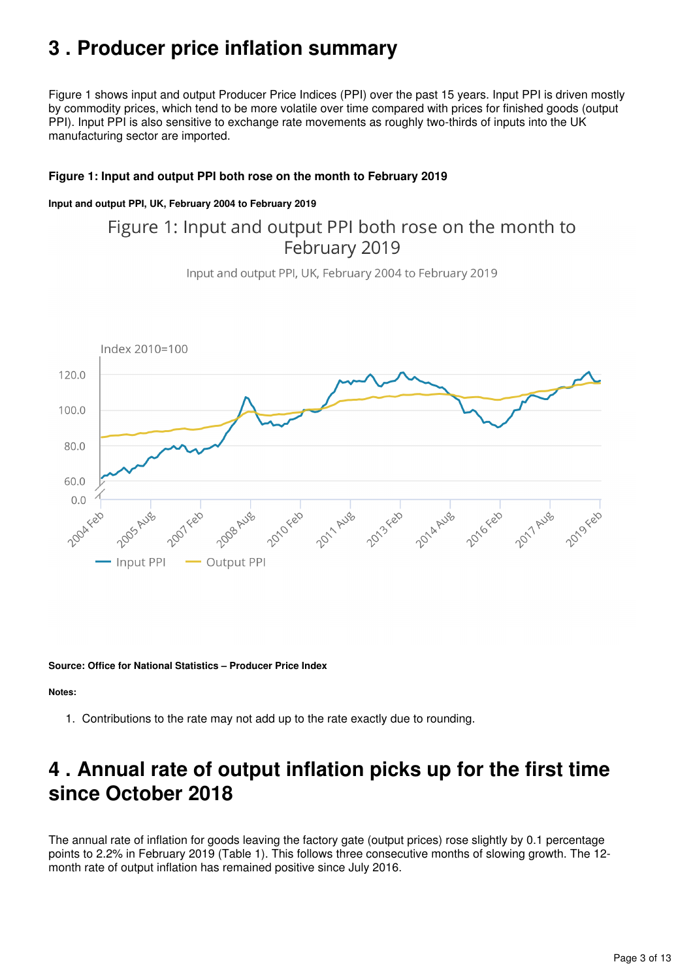## <span id="page-2-0"></span>**3 . Producer price inflation summary**

Figure 1 shows input and output Producer Price Indices (PPI) over the past 15 years. Input PPI is driven mostly by commodity prices, which tend to be more volatile over time compared with prices for finished goods (output PPI). Input PPI is also sensitive to exchange rate movements as roughly two-thirds of inputs into the UK manufacturing sector are imported.

#### **Figure 1: Input and output PPI both rose on the month to February 2019**

#### **Input and output PPI, UK, February 2004 to February 2019**

## Figure 1: Input and output PPI both rose on the month to February 2019

Input and output PPI, UK, February 2004 to February 2019



**Source: Office for National Statistics – Producer Price Index**

**Notes:**

1. Contributions to the rate may not add up to the rate exactly due to rounding.

## <span id="page-2-1"></span>**4 . Annual rate of output inflation picks up for the first time since October 2018**

The annual rate of inflation for goods leaving the factory gate (output prices) rose slightly by 0.1 percentage points to 2.2% in February 2019 (Table 1). This follows three consecutive months of slowing growth. The 12 month rate of output inflation has remained positive since July 2016.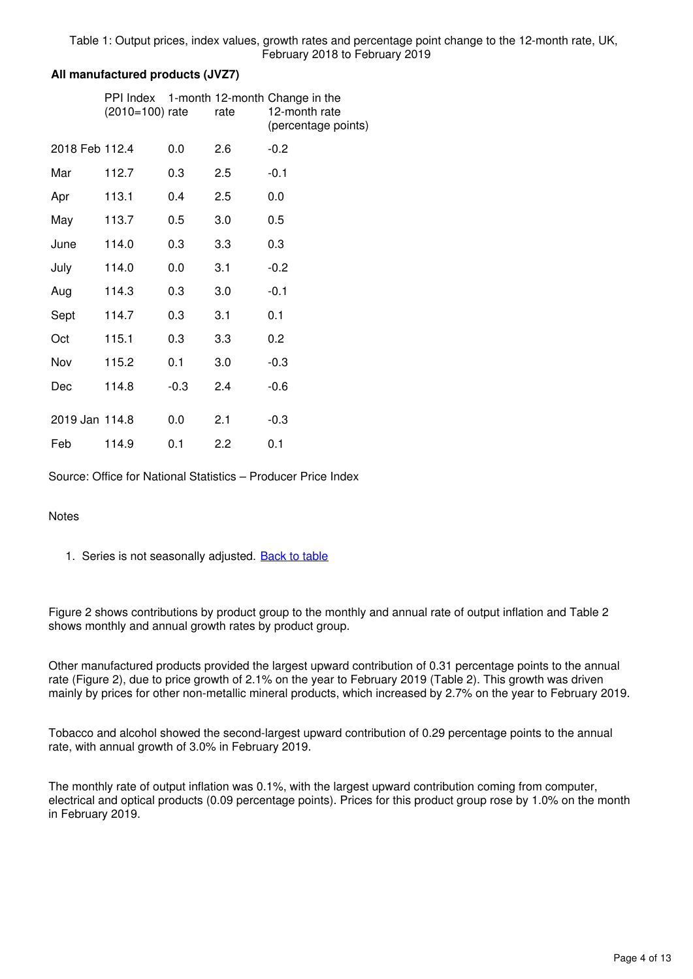#### **All manufactured products (JVZ7)**

|                | $(2010=100)$ rate |        | rate | PPI Index 1-month 12-month Change in the<br>12-month rate<br>(percentage points) |
|----------------|-------------------|--------|------|----------------------------------------------------------------------------------|
| 2018 Feb 112.4 |                   | 0.0    | 2.6  | $-0.2$                                                                           |
| Mar            | 112.7             | 0.3    | 2.5  | $-0.1$                                                                           |
| Apr            | 113.1             | 0.4    | 2.5  | 0.0                                                                              |
| May            | 113.7             | 0.5    | 3.0  | 0.5                                                                              |
| June           | 114.0             | 0.3    | 3.3  | 0.3                                                                              |
| July           | 114.0             | 0.0    | 3.1  | $-0.2$                                                                           |
| Aug            | 114.3             | 0.3    | 3.0  | $-0.1$                                                                           |
| Sept           | 114.7             | 0.3    | 3.1  | 0.1                                                                              |
| Oct            | 115.1             | 0.3    | 3.3  | 0.2                                                                              |
| Nov            | 115.2             | 0.1    | 3.0  | $-0.3$                                                                           |
| Dec            | 114.8             | $-0.3$ | 2.4  | $-0.6$                                                                           |
| 2019 Jan 114.8 |                   | 0.0    | 2.1  | $-0.3$                                                                           |
| Feb            | 114.9             | 0.1    | 2.2  | 0.1                                                                              |

Source: Office for National Statistics – Producer Price Index

#### **Notes**

1. Series is not seasonally adjusted. **[Back to table](#page-0-0)** 

Figure 2 shows contributions by product group to the monthly and annual rate of output inflation and Table 2 shows monthly and annual growth rates by product group.

Other manufactured products provided the largest upward contribution of 0.31 percentage points to the annual rate (Figure 2), due to price growth of 2.1% on the year to February 2019 (Table 2). This growth was driven mainly by prices for other non-metallic mineral products, which increased by 2.7% on the year to February 2019.

Tobacco and alcohol showed the second-largest upward contribution of 0.29 percentage points to the annual rate, with annual growth of 3.0% in February 2019.

The monthly rate of output inflation was 0.1%, with the largest upward contribution coming from computer, electrical and optical products (0.09 percentage points). Prices for this product group rose by 1.0% on the month in February 2019.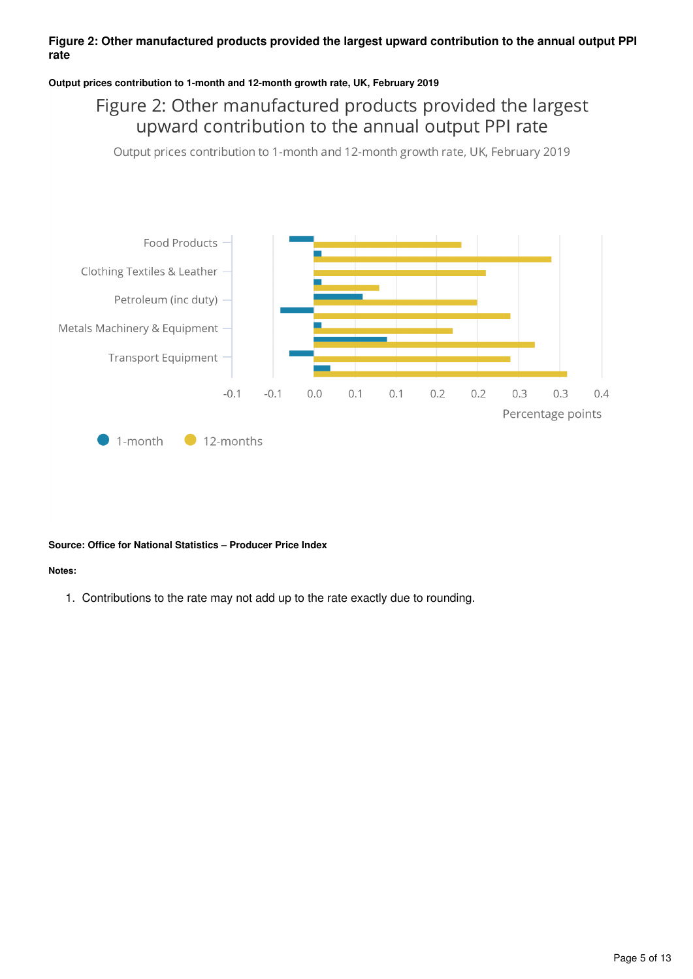#### **Figure 2: Other manufactured products provided the largest upward contribution to the annual output PPI rate**

#### **Output prices contribution to 1-month and 12-month growth rate, UK, February 2019**

## Figure 2: Other manufactured products provided the largest upward contribution to the annual output PPI rate

Output prices contribution to 1-month and 12-month growth rate, UK, February 2019



#### **Source: Office for National Statistics – Producer Price Index**

#### **Notes:**

1. Contributions to the rate may not add up to the rate exactly due to rounding.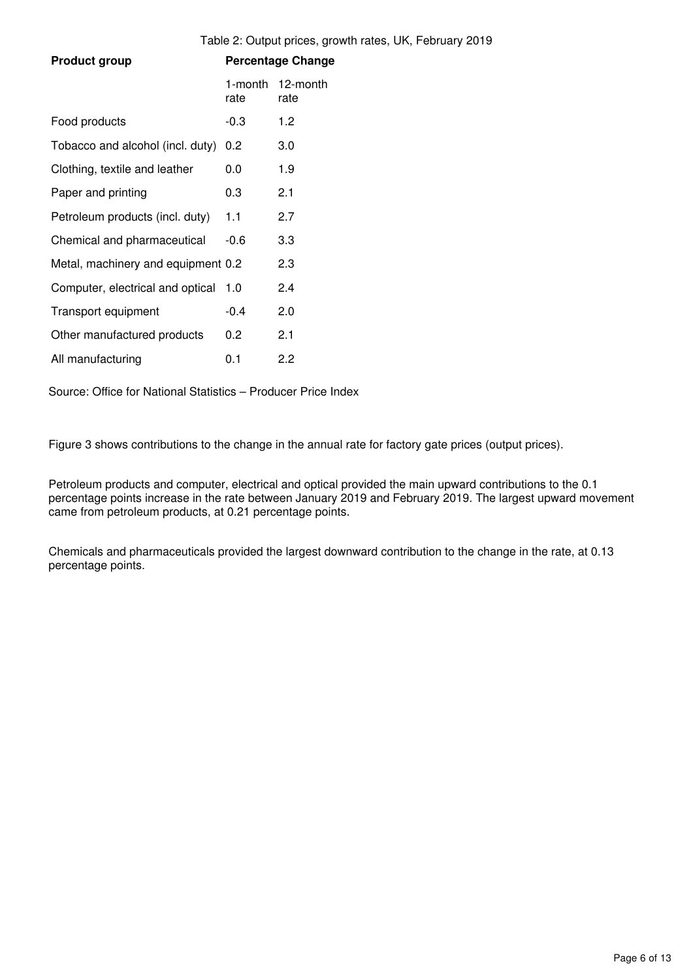|                                    |                 | Table 2: Output prices, growth rates, UK, February 2019 |
|------------------------------------|-----------------|---------------------------------------------------------|
| <b>Product group</b>               |                 | <b>Percentage Change</b>                                |
|                                    | 1-month<br>rate | 12-month<br>rate                                        |
| Food products                      | $-0.3$          | 1.2                                                     |
| Tobacco and alcohol (incl. duty)   | 0.2             | 3.0                                                     |
| Clothing, textile and leather      | 0.0             | 1.9                                                     |
| Paper and printing                 | 0.3             | 2.1                                                     |
| Petroleum products (incl. duty)    | 1.1             | 2.7                                                     |
| Chemical and pharmaceutical        | $-0.6$          | 3.3                                                     |
| Metal, machinery and equipment 0.2 |                 | 2.3                                                     |
| Computer, electrical and optical   | 1.0             | 2.4                                                     |
| Transport equipment                | $-0.4$          | 2.0                                                     |
| Other manufactured products        | 0.2             | 2.1                                                     |
| All manufacturing                  | 0.1             | 2.2                                                     |

Source: Office for National Statistics – Producer Price Index

Figure 3 shows contributions to the change in the annual rate for factory gate prices (output prices).

Petroleum products and computer, electrical and optical provided the main upward contributions to the 0.1 percentage points increase in the rate between January 2019 and February 2019. The largest upward movement came from petroleum products, at 0.21 percentage points.

Chemicals and pharmaceuticals provided the largest downward contribution to the change in the rate, at 0.13 percentage points.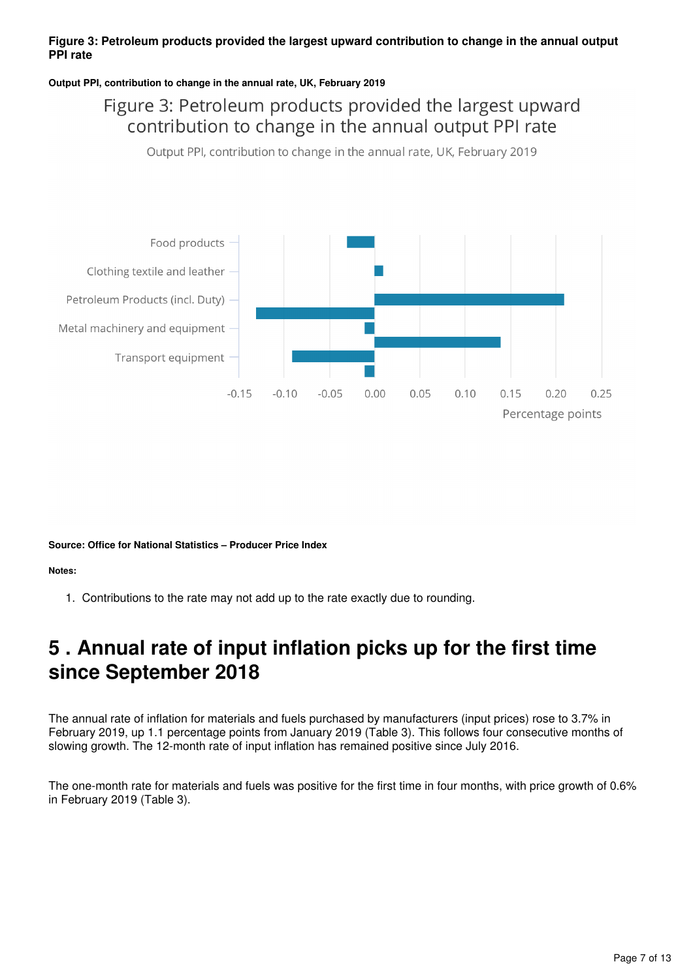#### **Figure 3: Petroleum products provided the largest upward contribution to change in the annual output PPI rate**

#### **Output PPI, contribution to change in the annual rate, UK, February 2019**

## Figure 3: Petroleum products provided the largest upward contribution to change in the annual output PPI rate

Output PPI, contribution to change in the annual rate, UK, February 2019



**Source: Office for National Statistics – Producer Price Index**

#### **Notes:**

1. Contributions to the rate may not add up to the rate exactly due to rounding.

## <span id="page-6-0"></span>**5 . Annual rate of input inflation picks up for the first time since September 2018**

The annual rate of inflation for materials and fuels purchased by manufacturers (input prices) rose to 3.7% in February 2019, up 1.1 percentage points from January 2019 (Table 3). This follows four consecutive months of slowing growth. The 12-month rate of input inflation has remained positive since July 2016.

The one-month rate for materials and fuels was positive for the first time in four months, with price growth of 0.6% in February 2019 (Table 3).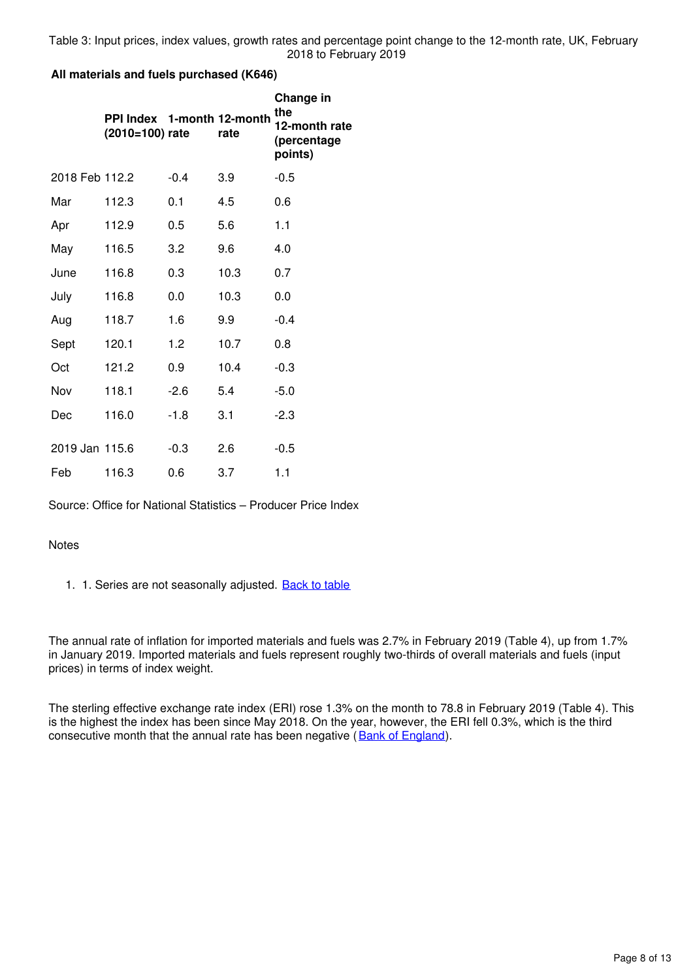Table 3: Input prices, index values, growth rates and percentage point change to the 12-month rate, UK, February 2018 to February 2019

#### **All materials and fuels purchased (K646)**

|                | PPI Index 1-month 12-month<br>(2010=100) rate |        | rate | Change in<br>the<br>12-month rate<br>(percentage<br>points) |
|----------------|-----------------------------------------------|--------|------|-------------------------------------------------------------|
| 2018 Feb 112.2 |                                               | $-0.4$ | 3.9  | $-0.5$                                                      |
| Mar            | 112.3                                         | 0.1    | 4.5  | 0.6                                                         |
| Apr            | 112.9                                         | 0.5    | 5.6  | 1.1                                                         |
| May            | 116.5                                         | 3.2    | 9.6  | 4.0                                                         |
| June           | 116.8                                         | 0.3    | 10.3 | 0.7                                                         |
| July           | 116.8                                         | 0.0    | 10.3 | 0.0                                                         |
| Aug            | 118.7                                         | 1.6    | 9.9  | $-0.4$                                                      |
| Sept           | 120.1                                         | 1.2    | 10.7 | 0.8                                                         |
| Oct            | 121.2                                         | 0.9    | 10.4 | $-0.3$                                                      |
| Nov            | 118.1                                         | $-2.6$ | 5.4  | -5.0                                                        |
| Dec            | 116.0                                         | $-1.8$ | 3.1  | $-2.3$                                                      |
| 2019 Jan 115.6 |                                               | $-0.3$ | 2.6  | $-0.5$                                                      |
| Feb            | 116.3                                         | 0.6    | 3.7  | 1.1                                                         |

Source: Office for National Statistics – Producer Price Index

#### **Notes**

1. 1. Series are not seasonally adjusted. [Back to table](#page-0-0)

The annual rate of inflation for imported materials and fuels was 2.7% in February 2019 (Table 4), up from 1.7% in January 2019. Imported materials and fuels represent roughly two-thirds of overall materials and fuels (input prices) in terms of index weight.

The sterling effective exchange rate index (ERI) rose 1.3% on the month to 78.8 in February 2019 (Table 4). This is the highest the index has been since May 2018. On the year, however, the ERI fell 0.3%, which is the third consecutive month that the annual rate has been negative (Bank of England).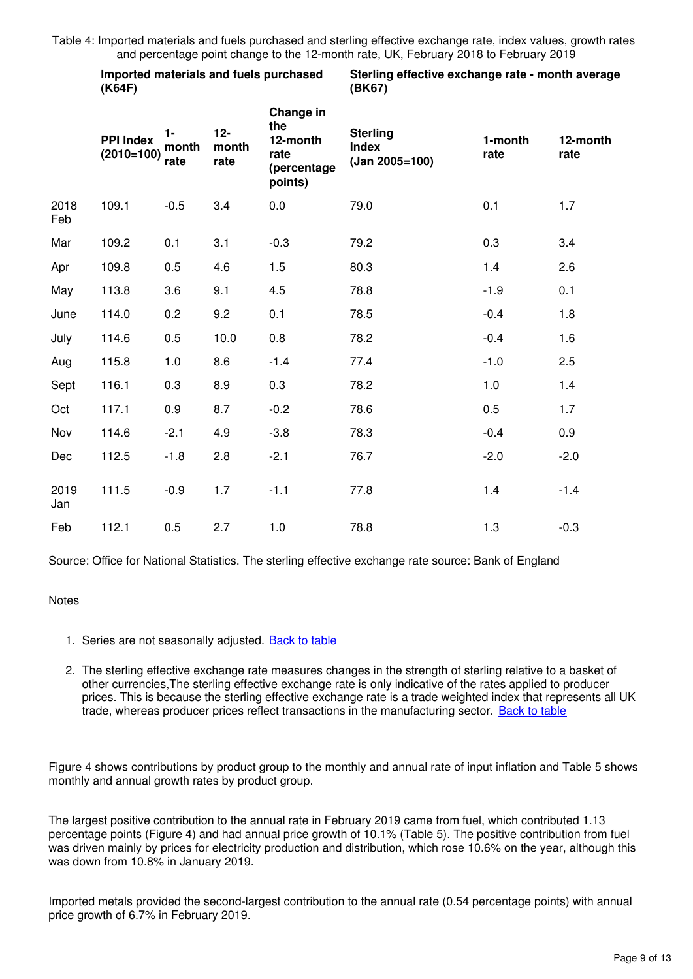Table 4: Imported materials and fuels purchased and sterling effective exchange rate, index values, growth rates and percentage point change to the 12-month rate, UK, February 2018 to February 2019

|             | (K64F)                           |                                                  |      | Imported materials and fuels purchased                         | Sterling effective exchange rate - month average<br>(BK67) |                                     |        |  |  |  |  |  |
|-------------|----------------------------------|--------------------------------------------------|------|----------------------------------------------------------------|------------------------------------------------------------|-------------------------------------|--------|--|--|--|--|--|
|             | <b>PPI Index</b><br>$(2010=100)$ | $12-$<br>$1 -$<br>month<br>month<br>rate<br>rate |      | Change in<br>the<br>12-month<br>rate<br>(percentage<br>points) | <b>Sterling</b><br><b>Index</b><br>$(Jan 2005=100)$        | 1-month<br>12-month<br>rate<br>rate |        |  |  |  |  |  |
| 2018<br>Feb | 109.1                            | $-0.5$                                           | 3.4  | 0.0                                                            | 79.0                                                       | 0.1                                 | 1.7    |  |  |  |  |  |
| Mar         | 109.2                            | 0.1                                              | 3.1  | $-0.3$                                                         | 79.2                                                       | 0.3                                 | 3.4    |  |  |  |  |  |
| Apr         | 109.8                            | 0.5                                              | 4.6  | 1.5                                                            | 80.3                                                       | 1.4                                 | 2.6    |  |  |  |  |  |
| May         | 113.8                            | 3.6                                              | 9.1  | 4.5                                                            | 78.8                                                       | $-1.9$                              | 0.1    |  |  |  |  |  |
| June        | 114.0                            | 0.2                                              | 9.2  | 0.1                                                            | 78.5                                                       | $-0.4$                              | 1.8    |  |  |  |  |  |
| July        | 114.6                            | 0.5                                              | 10.0 | 0.8                                                            | 78.2                                                       | $-0.4$                              | 1.6    |  |  |  |  |  |
| Aug         | 115.8                            | 1.0                                              | 8.6  | $-1.4$                                                         | 77.4                                                       | $-1.0$                              | 2.5    |  |  |  |  |  |
| Sept        | 116.1                            | 0.3                                              | 8.9  | 0.3                                                            | 78.2                                                       | 1.0                                 | 1.4    |  |  |  |  |  |
| Oct         | 117.1                            | 0.9                                              | 8.7  | $-0.2$                                                         | 78.6                                                       | 0.5                                 | 1.7    |  |  |  |  |  |
| Nov         | 114.6                            | $-2.1$                                           | 4.9  | $-3.8$                                                         | 78.3                                                       | $-0.4$                              | 0.9    |  |  |  |  |  |
| Dec         | 112.5                            | $-1.8$                                           | 2.8  | $-2.1$                                                         | 76.7                                                       | $-2.0$                              | $-2.0$ |  |  |  |  |  |
| 2019<br>Jan | 111.5                            | $-0.9$                                           | 1.7  | $-1.1$                                                         | 77.8                                                       | 1.4                                 | $-1.4$ |  |  |  |  |  |
| Feb         | 112.1                            | 0.5                                              | 2.7  | 1.0                                                            | 78.8                                                       | 1.3                                 | $-0.3$ |  |  |  |  |  |

Source: Office for National Statistics. The sterling effective exchange rate source: Bank of England

#### **Notes**

1. Series are not seasonally adjusted. **[Back to table](#page-0-0)** 

**Imported materials and fuels purchased** 

2. The sterling effective exchange rate measures changes in the strength of sterling relative to a basket of other currencies,The sterling effective exchange rate is only indicative of the rates applied to producer prices. This is because the sterling effective exchange rate is a trade weighted index that represents all UK trade, whereas producer prices reflect transactions in the manufacturing sector. [Back to table](#page-0-0)

Figure 4 shows contributions by product group to the monthly and annual rate of input inflation and Table 5 shows monthly and annual growth rates by product group.

The largest positive contribution to the annual rate in February 2019 came from fuel, which contributed 1.13 percentage points (Figure 4) and had annual price growth of 10.1% (Table 5). The positive contribution from fuel was driven mainly by prices for electricity production and distribution, which rose 10.6% on the year, although this was down from 10.8% in January 2019.

Imported metals provided the second-largest contribution to the annual rate (0.54 percentage points) with annual price growth of 6.7% in February 2019.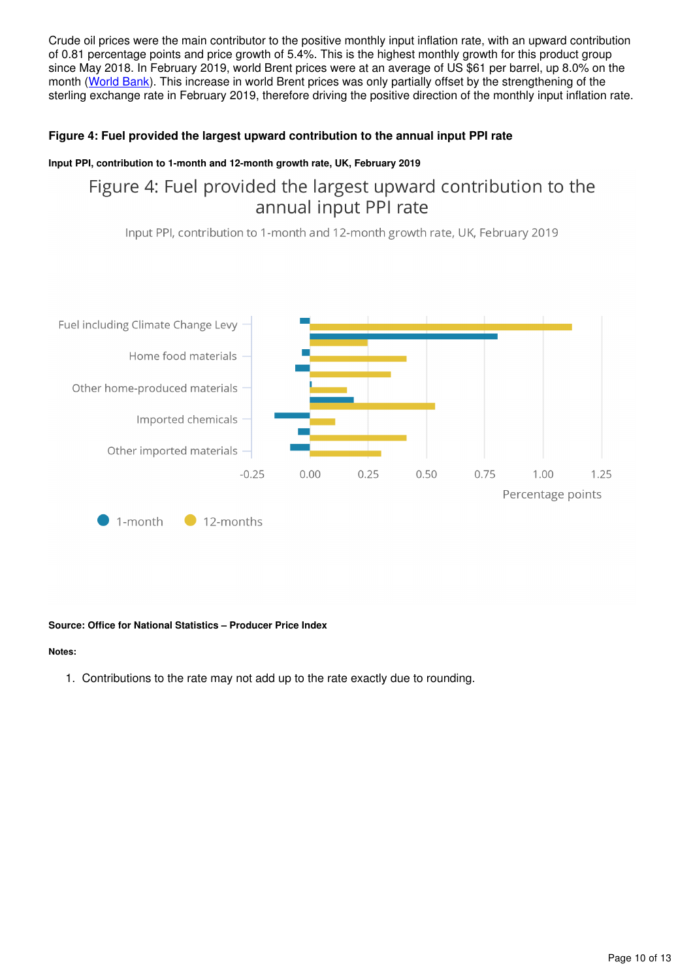Crude oil prices were the main contributor to the positive monthly input inflation rate, with an upward contribution of 0.81 percentage points and price growth of 5.4%. This is the highest monthly growth for this product group since May 2018. In February 2019, world Brent prices were at an average of US \$61 per barrel, up 8.0% on the month ([World Bank](http://www.worldbank.org/en/research/commodity-markets)). This increase in world Brent prices was only partially offset by the strengthening of the sterling exchange rate in February 2019, therefore driving the positive direction of the monthly input inflation rate.

#### **Figure 4: Fuel provided the largest upward contribution to the annual input PPI rate**

#### **Input PPI, contribution to 1-month and 12-month growth rate, UK, February 2019**

## Figure 4: Fuel provided the largest upward contribution to the annual input PPI rate

Input PPI, contribution to 1-month and 12-month growth rate, UK, February 2019



#### **Source: Office for National Statistics – Producer Price Index**

#### **Notes:**

1. Contributions to the rate may not add up to the rate exactly due to rounding.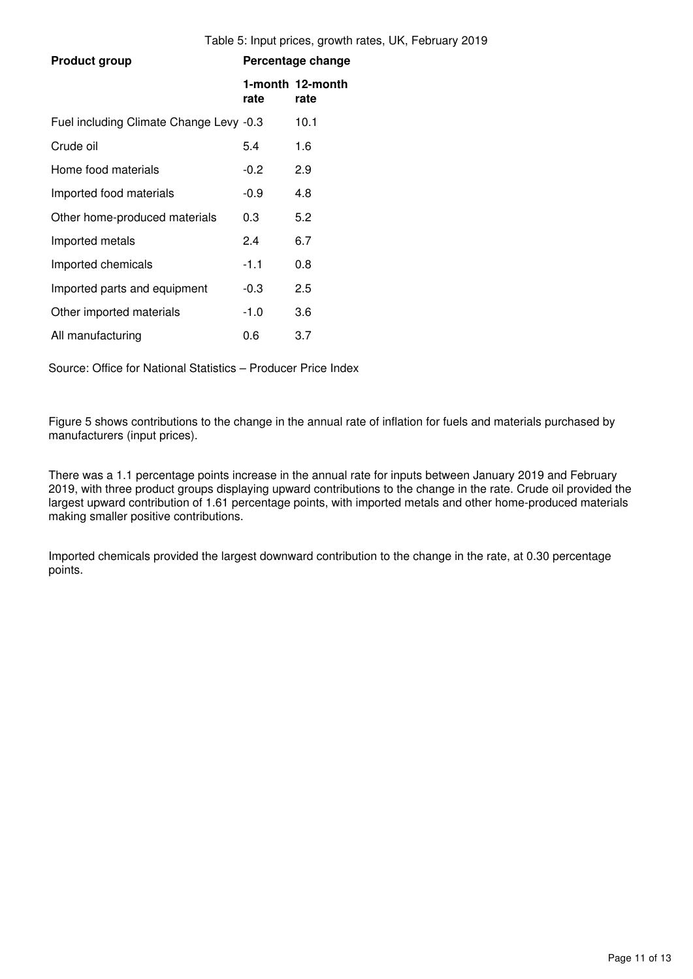| <b>Product group</b>                    |        | Percentage change        |
|-----------------------------------------|--------|--------------------------|
|                                         | rate   | 1-month 12-month<br>rate |
| Fuel including Climate Change Levy -0.3 |        | 10.1                     |
| Crude oil                               | 5.4    | 1.6                      |
| Home food materials                     | $-0.2$ | 2.9                      |
| Imported food materials                 | $-0.9$ | 4.8                      |
| Other home-produced materials           | 0.3    | 5.2                      |
| Imported metals                         | 2.4    | 6.7                      |
| Imported chemicals                      | $-1.1$ | 0.8                      |
| Imported parts and equipment            | -0.3   | 2.5                      |
| Other imported materials                | $-1.0$ | 3.6                      |
| All manufacturing                       | 0.6    | 3.7                      |

Source: Office for National Statistics – Producer Price Index

Figure 5 shows contributions to the change in the annual rate of inflation for fuels and materials purchased by manufacturers (input prices).

There was a 1.1 percentage points increase in the annual rate for inputs between January 2019 and February 2019, with three product groups displaying upward contributions to the change in the rate. Crude oil provided the largest upward contribution of 1.61 percentage points, with imported metals and other home-produced materials making smaller positive contributions.

Imported chemicals provided the largest downward contribution to the change in the rate, at 0.30 percentage points.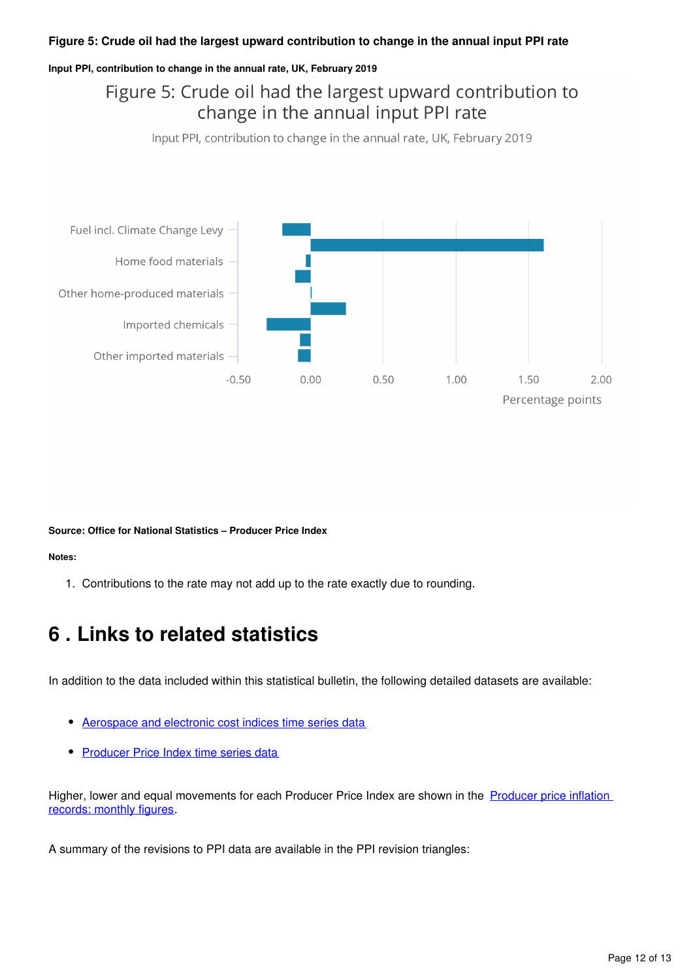#### **Figure 5: Crude oil had the largest upward contribution to change in the annual input PPI rate**

#### **Input PPI, contribution to change in the annual rate, UK, February 2019**

## Figure 5: Crude oil had the largest upward contribution to change in the annual input PPI rate

Input PPI, contribution to change in the annual rate, UK, February 2019



**Source: Office for National Statistics – Producer Price Index**

#### **Notes:**

1. Contributions to the rate may not add up to the rate exactly due to rounding.

## <span id="page-11-0"></span>**6 . Links to related statistics**

In addition to the data included within this statistical bulletin, the following detailed datasets are available:

- [Aerospace and electronic cost indices time series data](https://www.ons.gov.uk/economy/inflationandpriceindices/datasets/aerospaceandelectronicscostindices)
- [Producer Price Index time series data](https://www.ons.gov.uk/economy/inflationandpriceindices/datasets/producerpriceindex)

Higher, lower and equal movements for each Producer Price Index are shown in the Producer price inflation [records: monthly figures.](https://www.ons.gov.uk/economy/inflationandpriceindices/datasets/producerpriceindicesrecords)

A summary of the revisions to PPI data are available in the PPI revision triangles: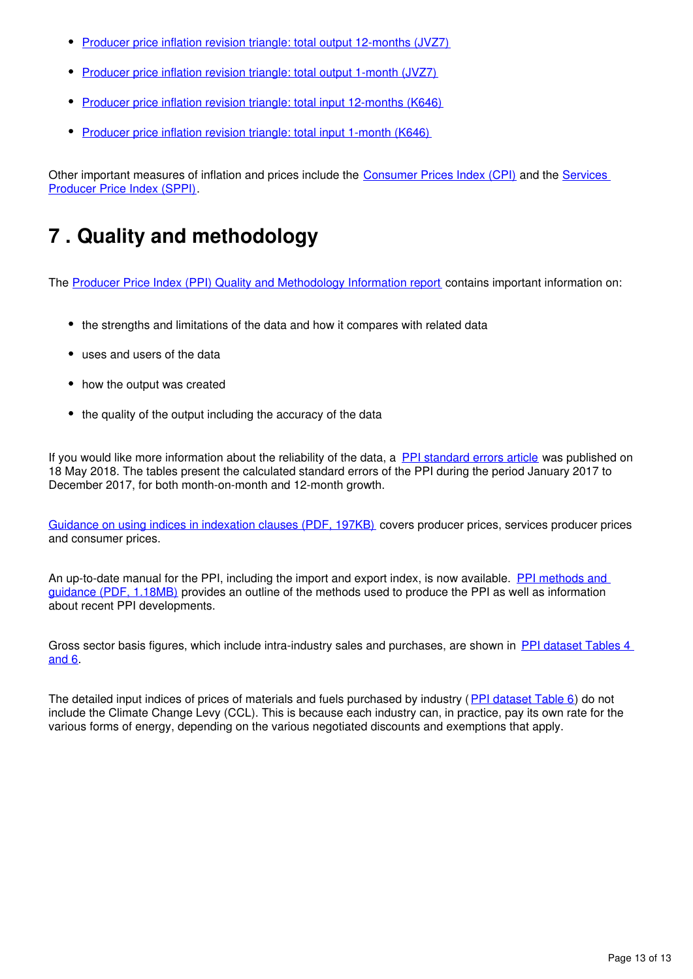- [Producer price inflation revision triangle: total output 12-months \(JVZ7\)](https://www.ons.gov.uk/economy/inflationandpriceindices/datasets/producerpriceindexrevisiontriangletotaloutput12monthsjvz7)
- [Producer price inflation revision triangle: total output 1-month \(JVZ7\)](https://www.ons.gov.uk/economy/inflationandpriceindices/datasets/producerpriceindexrevisiontriangletotaloutput1monthjvz7)
- [Producer price inflation revision triangle: total input 12-months \(K646\)](https://www.ons.gov.uk/economy/inflationandpriceindices/datasets/producerpriceindexrevisiontriangletotalinput12months)
- [Producer price inflation revision triangle: total input 1-month \(K646\)](https://www.ons.gov.uk/economy/inflationandpriceindices/datasets/producerpriceindexrevisiontriangletotalinput1month)

Other important measures of inflation and prices include the [Consumer Prices Index \(CPI\)](https://www.ons.gov.uk/economy/inflationandpriceindices/bulletins/consumerpriceinflation/previousReleases) and the Services [Producer Price Index \(SPPI\).](https://www.ons.gov.uk/economy/inflationandpriceindices/bulletins/servicesproducerpriceindices/previousReleases)

## <span id="page-12-0"></span>**7 . Quality and methodology**

The [Producer Price Index \(PPI\) Quality and Methodology Information report](http://www.ons.gov.uk/economy/inflationandpriceindices/qmis/producerpriceindicesqmi) contains important information on:

- the strengths and limitations of the data and how it compares with related data
- uses and users of the data
- how the output was created
- the quality of the output including the accuracy of the data

If you would like more information about the reliability of the data, a [PPI standard errors article](https://www.ons.gov.uk/releases/producerpriceindex12monthgrowthrateswithstandarderrorsuk) was published on 18 May 2018. The tables present the calculated standard errors of the PPI during the period January 2017 to December 2017, for both month-on-month and 12-month growth.

[Guidance on using indices in indexation clauses \(PDF, 197KB\)](http://webarchive.nationalarchives.gov.uk/20160106081426/http:/www.ons.gov.uk/ons/guide-method/user-guidance/prices/ppi/guidance-on-using-indices-in-indexation-clauses.pdf) covers producer prices, services producer prices and consumer prices.

An up-to-date manual for the PPI, including the import and export index, is now available. PPI methods and [guidance \(PDF, 1.18MB\)](http://webarchive.nationalarchives.gov.uk/20160106081426/http:/www.ons.gov.uk/ons/guide-method/user-guidance/prices/ppi/producer-price-indices--methods-and-guidance----2014-edition.pdf) provides an outline of the methods used to produce the PPI as well as information about recent PPI developments.

Gross sector basis figures, which include intra-industry sales and purchases, are shown in [PPI dataset Tables 4](http://www.ons.gov.uk/economy/inflationandpriceindices/datasets/producerpriceindexreferencetables)  [and 6](http://www.ons.gov.uk/economy/inflationandpriceindices/datasets/producerpriceindexreferencetables).

The detailed input indices of prices of materials and fuels purchased by industry ([PPI dataset Table 6](http://www.ons.gov.uk/economy/inflationandpriceindices/datasets/producerpriceindexreferencetables)) do not include the Climate Change Levy (CCL). This is because each industry can, in practice, pay its own rate for the various forms of energy, depending on the various negotiated discounts and exemptions that apply.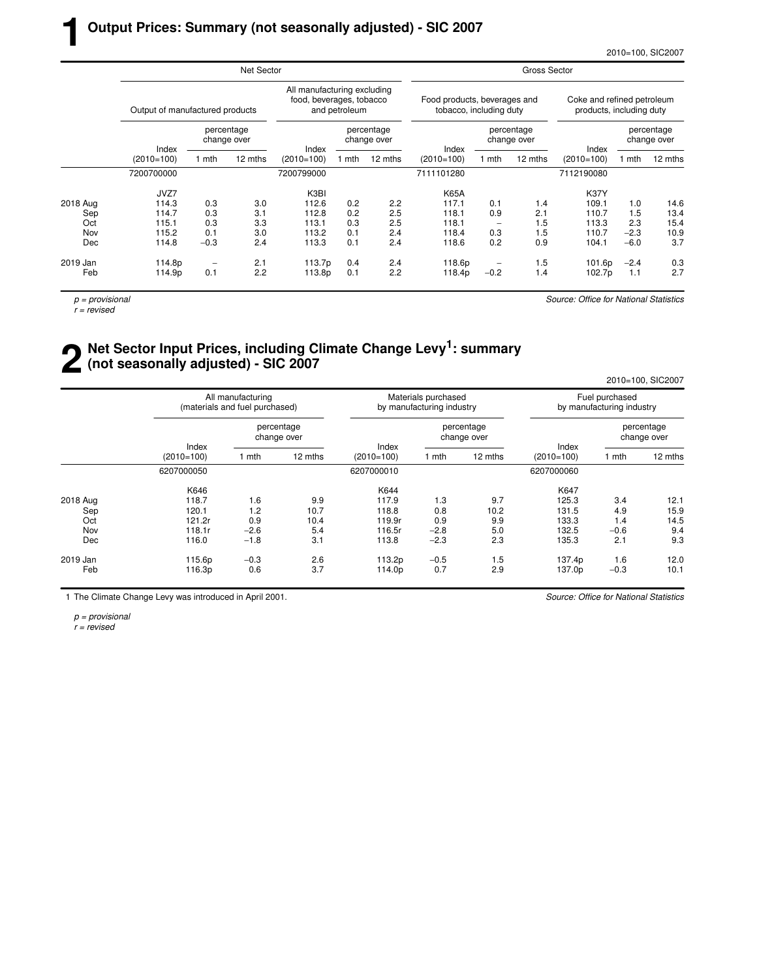2010=100, SIC2007

|          |                                 |        | Net Sector                |                                                         |               |                           | <b>Gross Sector</b>                                     |        |                           |                                                        |        |                           |  |  |  |
|----------|---------------------------------|--------|---------------------------|---------------------------------------------------------|---------------|---------------------------|---------------------------------------------------------|--------|---------------------------|--------------------------------------------------------|--------|---------------------------|--|--|--|
|          | Output of manufactured products |        |                           | All manufacturing excluding<br>food, beverages, tobacco | and petroleum |                           | Food products, beverages and<br>tobacco, including duty |        |                           | Coke and refined petroleum<br>products, including duty |        |                           |  |  |  |
|          | Index                           |        | percentage<br>change over | Index                                                   |               | percentage<br>change over | Index                                                   |        | percentage<br>change over | Index                                                  |        | percentage<br>change over |  |  |  |
|          | $(2010=100)$                    | 1 mth  | 12 mths                   | $(2010=100)$                                            | l mth         | 12 mths                   | $(2010=100)$                                            | 1 mth  | 12 mths                   | $(2010=100)$                                           | 1 mth  | 12 mths                   |  |  |  |
|          | 7200700000                      |        |                           | 7200799000                                              |               |                           | 7111101280                                              |        |                           | 7112190080                                             |        |                           |  |  |  |
|          | JVZ7                            |        |                           | K3BI                                                    |               |                           | <b>K65A</b>                                             |        |                           | <b>K37Y</b>                                            |        |                           |  |  |  |
| 2018 Aug | 114.3                           | 0.3    | 3.0                       | 112.6                                                   | 0.2           | 2.2                       | 117.1                                                   | 0.1    | 1.4                       | 109.1                                                  | 1.0    | 14.6                      |  |  |  |
| Sep      | 114.7                           | 0.3    | 3.1                       | 112.8                                                   | 0.2           | 2.5                       | 118.1                                                   | 0.9    | 2.1                       | 110.7                                                  | 1.5    | 13.4                      |  |  |  |
| Oct      | 115.1                           | 0.3    | 3.3                       | 113.1                                                   | 0.3           | 2.5                       | 118.1                                                   |        | 1.5                       | 113.3                                                  | 2.3    | 15.4                      |  |  |  |
| Nov      | 115.2                           | 0.1    | 3.0                       | 113.2                                                   | 0.1           | 2.4                       | 118.4                                                   | 0.3    | 1.5                       | 110.7                                                  | $-2.3$ | 10.9                      |  |  |  |
| Dec      | 114.8                           | $-0.3$ | 2.4                       | 113.3                                                   | 0.1           | 2.4                       | 118.6                                                   | 0.2    | 0.9                       | 104.1                                                  | $-6.0$ | 3.7                       |  |  |  |
| 2019 Jan | 114.8p                          |        | 2.1                       | 113.7p                                                  | 0.4           | 2.4                       | 118.6p                                                  |        | 1.5                       | 101.6p                                                 | $-2.4$ | 0.3                       |  |  |  |
| Feb      | 114.9p                          | 0.1    | 2.2                       | 113.8p                                                  | 0.1           | 2.2                       | 118.4p                                                  | $-0.2$ | 1.4                       | 102.7p                                                 | 1.1    | 2.7                       |  |  |  |
|          |                                 |        |                           |                                                         |               |                           |                                                         |        |                           |                                                        |        |                           |  |  |  |

 $p =$  provisional

**1**

 $r =$  revised

Source: Office for National Statistics

## **2** Net Sector Input Prices, including Climate Change Levy<sup>1</sup>: summary (not seasonally adjusted) - SIC 2007 **(not seasonally adjusted) - SIC 2007**

2010=100, SIC2007

|          |                       | All manufacturing<br>(materials and fuel purchased) |                           |                       | Materials purchased<br>by manufacturing industry |                           | Fuel purchased<br>by manufacturing industry |                           |         |  |
|----------|-----------------------|-----------------------------------------------------|---------------------------|-----------------------|--------------------------------------------------|---------------------------|---------------------------------------------|---------------------------|---------|--|
|          |                       |                                                     | percentage<br>change over |                       |                                                  | percentage<br>change over |                                             | percentage<br>change over |         |  |
|          | Index<br>$(2010=100)$ | mth                                                 | 12 mths                   | Index<br>$(2010=100)$ | 1 mth                                            | 12 mths                   | Index<br>$(2010=100)$                       | 1 mth                     | 12 mths |  |
|          | 6207000050            |                                                     |                           | 6207000010            |                                                  |                           | 6207000060                                  |                           |         |  |
|          | K646                  |                                                     |                           | K644                  |                                                  |                           | K647                                        |                           |         |  |
| 2018 Aug | 118.7                 | 1.6                                                 | 9.9                       | 117.9                 | 1.3                                              | 9.7                       | 125.3                                       | 3.4                       | 12.1    |  |
| Sep      | 120.1                 | 1.2                                                 | 10.7                      | 118.8                 | 0.8                                              | 10.2                      | 131.5                                       | 4.9                       | 15.9    |  |
| Oct      | 121.2r                | 0.9                                                 | 10.4                      | 119.9r                | 0.9                                              | 9.9                       | 133.3                                       | 1.4                       | 14.5    |  |
| Nov      | 118.1r                | $-2.6$                                              | 5.4                       | 116.5r                | $-2.8$                                           | 5.0                       | 132.5                                       | $-0.6$                    | 9.4     |  |
| Dec      | 116.0                 | $-1.8$                                              | 3.1                       | 113.8                 | $-2.3$                                           | 2.3                       | 135.3                                       | 2.1                       | 9.3     |  |
| 2019 Jan | 115.6p                | $-0.3$                                              | 2.6                       | 113.2p                | $-0.5$                                           | 1.5                       | 137.4p                                      | 1.6                       | 12.0    |  |
| Feb      | 116.3p                | 0.6                                                 | 3.7                       | 114.0p                | 0.7                                              | 2.9                       | 137.0p                                      | $-0.3$                    | 10.1    |  |

1 The Climate Change Levy was introduced in April 2001.

Source: Office for National Statistics

p = provisional r = revised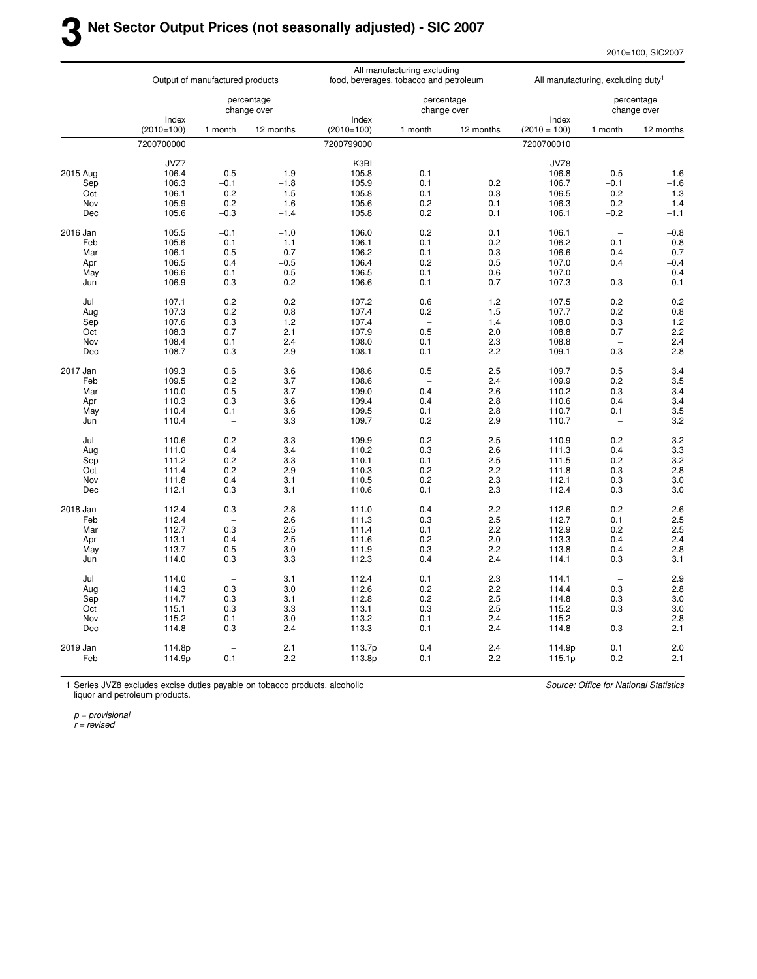2010=100, SIC2007

|          |              | Output of manufactured products |                           |              | All manufacturing excluding<br>food, beverages, tobacco and petroleum |                           | All manufacturing, excluding duty <sup>1</sup> |                          |                           |  |
|----------|--------------|---------------------------------|---------------------------|--------------|-----------------------------------------------------------------------|---------------------------|------------------------------------------------|--------------------------|---------------------------|--|
|          | Index        |                                 | percentage<br>change over | Index        |                                                                       | percentage<br>change over | Index                                          |                          | percentage<br>change over |  |
|          | $(2010=100)$ | 1 month                         | 12 months                 | $(2010=100)$ | 1 month                                                               | 12 months                 | $(2010 = 100)$                                 | 1 month                  | 12 months                 |  |
|          | 7200700000   |                                 |                           | 7200799000   |                                                                       |                           | 7200700010                                     |                          |                           |  |
|          | JVZ7         |                                 |                           | K3BI         |                                                                       |                           | JVZ8                                           |                          |                           |  |
| 2015 Aug | 106.4        | $-0.5$                          | $-1.9$                    | 105.8        | $-0.1$                                                                |                           | 106.8                                          | $-0.5$                   | $-1.6$                    |  |
| Sep      | 106.3        | $-0.1$                          | $-1.8$                    | 105.9        | 0.1                                                                   | 0.2                       | 106.7                                          | $-0.1$                   | $-1.6$                    |  |
| Oct      | 106.1        | $-0.2$                          | $-1.5$                    | 105.8        | $-0.1$                                                                | 0.3                       | 106.5                                          | $-0.2$                   | $-1.3$                    |  |
| Nov      | 105.9        | $-0.2$                          | $-1.6$                    | 105.6        | $-0.2$                                                                | $-0.1$                    | 106.3                                          | $-0.2$                   | $-1.4$                    |  |
| Dec      | 105.6        | $-0.3$                          | $-1.4$                    | 105.8        | 0.2                                                                   | 0.1                       | 106.1                                          | $-0.2$                   | $-1.1$                    |  |
|          |              |                                 |                           |              |                                                                       |                           |                                                |                          |                           |  |
| 2016 Jan | 105.5        | $-0.1$                          | $-1.0$                    | 106.0        | 0.2                                                                   | 0.1                       | 106.1                                          | $\overline{\phantom{a}}$ | $-0.8$                    |  |
| Feb      | 105.6        | 0.1                             | $-1.1$                    | 106.1        | 0.1                                                                   | 0.2                       | 106.2                                          | 0.1                      | $-0.8$                    |  |
| Mar      | 106.1        | 0.5                             | $-0.7$                    | 106.2        | 0.1                                                                   | 0.3                       | 106.6                                          | 0.4                      | $-0.7$                    |  |
| Apr      | 106.5        | 0.4                             | $-0.5$                    | 106.4        | 0.2                                                                   | 0.5                       | 107.0                                          | 0.4                      | $-0.4$                    |  |
| May      | 106.6        | 0.1                             | $-0.5$                    | 106.5        | 0.1                                                                   | 0.6                       | 107.0                                          |                          | $-0.4$                    |  |
| Jun      | 106.9        | 0.3                             | $-0.2$                    | 106.6        | 0.1                                                                   | 0.7                       | 107.3                                          | 0.3                      | $-0.1$                    |  |
|          |              |                                 |                           |              |                                                                       |                           |                                                |                          |                           |  |
| Jul      | 107.1        | 0.2                             | 0.2                       | 107.2        | 0.6                                                                   | 1.2                       | 107.5                                          | 0.2                      | 0.2                       |  |
| Aug      | 107.3        | 0.2                             | 0.8                       | 107.4        | 0.2                                                                   | 1.5                       | 107.7                                          | 0.2                      | 0.8                       |  |
| Sep      | 107.6        | 0.3                             | 1.2                       | 107.4        | $\overline{\phantom{0}}$                                              | 1.4                       | 108.0                                          | 0.3                      | 1.2                       |  |
| Oct      | 108.3        | 0.7                             | 2.1                       | 107.9        | 0.5                                                                   | 2.0                       | 108.8                                          | 0.7                      | 2.2                       |  |
| Nov      | 108.4        | 0.1                             | 2.4                       | 108.0        | 0.1                                                                   | 2.3                       | 108.8                                          |                          | 2.4                       |  |
| Dec      | 108.7        | 0.3                             | 2.9                       | 108.1        | 0.1                                                                   | 2.2                       | 109.1                                          | 0.3                      | 2.8                       |  |
| 2017 Jan | 109.3        | 0.6                             | 3.6                       | 108.6        | 0.5                                                                   | 2.5                       | 109.7                                          | 0.5                      | 3.4                       |  |
| Feb      | 109.5        | 0.2                             | 3.7                       | 108.6        |                                                                       | 2.4                       | 109.9                                          | 0.2                      | 3.5                       |  |
| Mar      | 110.0        | 0.5                             | 3.7                       | 109.0        | 0.4                                                                   | 2.6                       | 110.2                                          | 0.3                      | 3.4                       |  |
| Apr      | 110.3        | 0.3                             | 3.6                       | 109.4        | 0.4                                                                   | 2.8                       | 110.6                                          | 0.4                      | 3.4                       |  |
| May      | 110.4        | 0.1                             | 3.6                       | 109.5        | 0.1                                                                   | 2.8                       | 110.7                                          | 0.1                      | 3.5                       |  |
| Jun      | 110.4        | $\overline{\phantom{0}}$        | 3.3                       | 109.7        | 0.2                                                                   | 2.9                       | 110.7                                          | $\overline{\phantom{0}}$ | 3.2                       |  |
|          |              |                                 |                           |              |                                                                       |                           |                                                |                          |                           |  |
| Jul      | 110.6        | 0.2                             | 3.3                       | 109.9        | 0.2                                                                   | 2.5                       | 110.9                                          | 0.2                      | 3.2                       |  |
| Aug      | 111.0        | 0.4                             | 3.4                       | 110.2        | 0.3                                                                   | 2.6                       | 111.3                                          | 0.4                      | 3.3                       |  |
| Sep      | 111.2        | 0.2                             | 3.3                       | 110.1        | $-0.1$                                                                | 2.5                       | 111.5                                          | 0.2                      | 3.2                       |  |
| Oct      | 111.4        | 0.2                             | 2.9                       | 110.3        | 0.2                                                                   | 2.2                       | 111.8                                          | 0.3                      | 2.8                       |  |
| Nov      | 111.8        | 0.4                             | 3.1                       | 110.5        | 0.2                                                                   | 2.3                       | 112.1                                          | 0.3                      | 3.0                       |  |
| Dec      | 112.1        | 0.3                             | 3.1                       | 110.6        | 0.1                                                                   | 2.3                       | 112.4                                          | 0.3                      | 3.0                       |  |
|          |              |                                 |                           |              |                                                                       |                           |                                                |                          |                           |  |
| 2018 Jan | 112.4        | 0.3                             | 2.8                       | 111.0        | 0.4                                                                   | 2.2                       | 112.6                                          | 0.2                      | 2.6                       |  |
| Feb      | 112.4        |                                 | 2.6                       | 111.3        | 0.3                                                                   | 2.5                       | 112.7                                          | 0.1                      | 2.5                       |  |
| Mar      | 112.7        | 0.3                             | 2.5                       | 111.4        | 0.1                                                                   | 2.2                       | 112.9                                          | 0.2                      | 2.5                       |  |
| Apr      | 113.1        | 0.4                             | 2.5                       | 111.6        | 0.2                                                                   | 2.0                       | 113.3                                          | 0.4                      | 2.4                       |  |
| May      | 113.7        | 0.5                             | 3.0                       | 111.9        | 0.3                                                                   | 2.2                       | 113.8                                          | 0.4                      | 2.8                       |  |
| Jun      | 114.0        | 0.3                             | 3.3                       | 112.3        | 0.4                                                                   | 2.4                       | 114.1                                          | 0.3                      | 3.1                       |  |
| Jul      | 114.0        | $\overline{\phantom{a}}$        | 3.1                       | 112.4        | 0.1                                                                   | 2.3                       | 114.1                                          | $\overline{\phantom{a}}$ | 2.9                       |  |
| Aug      | 114.3        | 0.3                             | 3.0                       | 112.6        | 0.2                                                                   | 2.2                       | 114.4                                          | 0.3                      | 2.8                       |  |
| Sep      | 114.7        | 0.3                             | 3.1                       | 112.8        | 0.2                                                                   | 2.5                       | 114.8                                          | 0.3                      | 3.0                       |  |
| Oct      | 115.1        | 0.3                             | 3.3                       | 113.1        | 0.3                                                                   | 2.5                       | 115.2                                          | 0.3                      | 3.0                       |  |
| Nov      | 115.2        | 0.1                             | 3.0                       | 113.2        | 0.1                                                                   | 2.4                       | 115.2                                          |                          | 2.8                       |  |
| Dec      | 114.8        | $-0.3$                          | 2.4                       | 113.3        | 0.1                                                                   | 2.4                       | 114.8                                          | $-0.3$                   | 2.1                       |  |
|          |              |                                 |                           |              |                                                                       |                           |                                                |                          |                           |  |
| 2019 Jan | 114.8p       | $\overline{\phantom{a}}$        | 2.1                       | 113.7p       | 0.4                                                                   | 2.4                       | 114.9p                                         | 0.1                      | 2.0                       |  |
| Feb      | 114.9p       | 0.1                             | 2.2                       | 113.8p       | 0.1                                                                   | 2.2                       | 115.1p                                         | 0.2                      | 2.1                       |  |
|          |              |                                 |                           |              |                                                                       |                           |                                                |                          |                           |  |

1 Series JVZ8 excludes excise duties payable on tobacco products, alcoholic liquor and petroleum products.

Source: Office for National Statistics

p = provisional

r = revised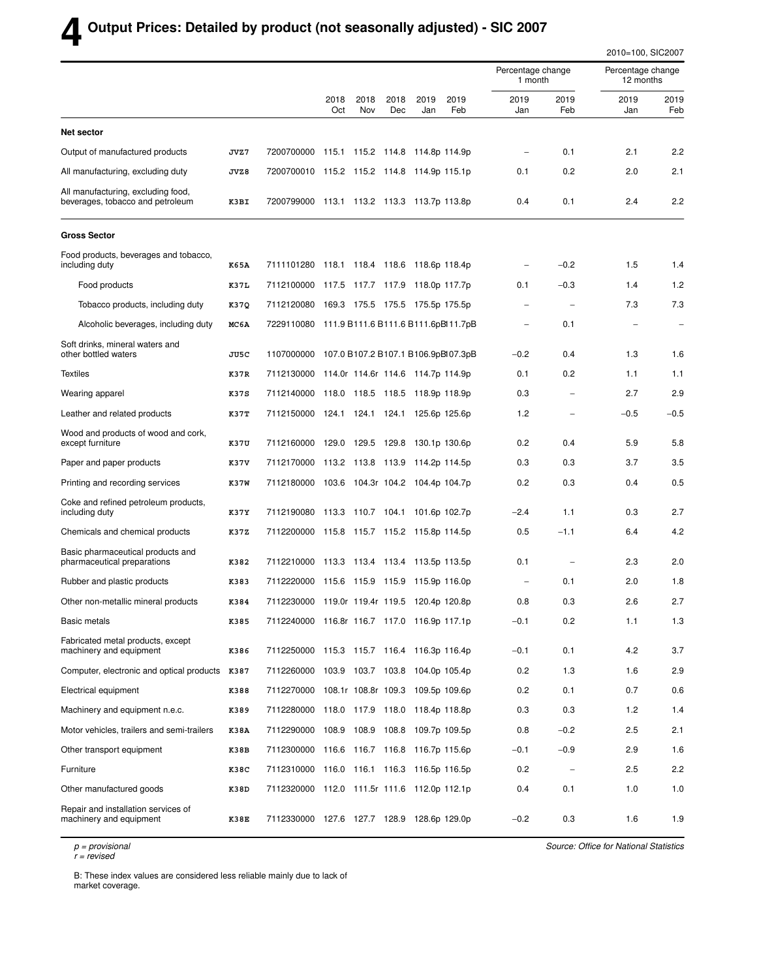## **4 Output Prices: Detailed by product (not seasonally adjusted) - SIC 2007**

|                                                                        |      |                                                |             |             |             |                                 |             |                              |                          | 2010=100, SIC2007              |                          |
|------------------------------------------------------------------------|------|------------------------------------------------|-------------|-------------|-------------|---------------------------------|-------------|------------------------------|--------------------------|--------------------------------|--------------------------|
|                                                                        |      |                                                |             |             |             |                                 |             | Percentage change<br>1 month |                          | Percentage change<br>12 months |                          |
|                                                                        |      |                                                | 2018<br>Oct | 2018<br>Nov | 2018<br>Dec | 2019<br>Jan                     | 2019<br>Feb | 2019<br>Jan                  | 2019<br>Feb              | 2019<br>Jan                    | 2019<br>Feb              |
| <b>Net sector</b>                                                      |      |                                                |             |             |             |                                 |             |                              |                          |                                |                          |
| Output of manufactured products                                        | JVZ7 | 7200700000                                     |             |             |             | 115.1 115.2 114.8 114.8p 114.9p |             | $\overline{\phantom{a}}$     | 0.1                      | 2.1                            | 2.2                      |
| All manufacturing, excluding duty                                      | JVZ8 | 7200700010 115.2 115.2 114.8 114.9p 115.1p     |             |             |             |                                 |             | 0.1                          | 0.2                      | 2.0                            | 2.1                      |
| All manufacturing, excluding food,<br>beverages, tobacco and petroleum | K3BI | 7200799000 113.1 113.2 113.3 113.7p 113.8p     |             |             |             |                                 |             | 0.4                          | 0.1                      | 2.4                            | 2.2                      |
| <b>Gross Sector</b>                                                    |      |                                                |             |             |             |                                 |             |                              |                          |                                |                          |
| Food products, beverages and tobacco,<br>including duty                | K65A | 7111101280 118.1 118.4 118.6 118.6p 118.4p     |             |             |             |                                 |             |                              | $-0.2$                   | 1.5                            | 1.4                      |
| Food products                                                          | K37L | 7112100000 117.5 117.7 117.9 118.0p 117.7p     |             |             |             |                                 |             | 0.1                          | $-0.3$                   | 1.4                            | 1.2                      |
| Tobacco products, including duty                                       | K37Q | 7112120080 169.3 175.5 175.5 175.5p 175.5p     |             |             |             |                                 |             | $\overline{\phantom{0}}$     | $\overline{\phantom{m}}$ | 7.3                            | 7.3                      |
| Alcoholic beverages, including duty                                    | MC6A | 7229110080 111.9 B111.6 B111.6 B111.6pBl11.7pB |             |             |             |                                 |             |                              | 0.1                      |                                | $\overline{\phantom{a}}$ |
| Soft drinks, mineral waters and<br>other bottled waters                | JU5C | 1107000000 107.0 B107.2 B107.1 B106.9pBl07.3pB |             |             |             |                                 |             | $-0.2$                       | 0.4                      | 1.3                            | 1.6                      |
| <b>Textiles</b>                                                        | K37R | 7112130000 114.0r 114.6r 114.6 114.7p 114.9p   |             |             |             |                                 |             | 0.1                          | 0.2                      | 1.1                            | 1.1                      |
| Wearing apparel                                                        | K37S | 7112140000 118.0 118.5 118.5 118.9p 118.9p     |             |             |             |                                 |             | 0.3                          | $\overline{\phantom{m}}$ | 2.7                            | 2.9                      |
| Leather and related products                                           | K37T | 7112150000 124.1 124.1 124.1 125.6p 125.6p     |             |             |             |                                 |             | 1.2                          |                          | $-0.5$                         | $-0.5$                   |
| Wood and products of wood and cork,<br>except furniture                | K37U | 7112160000 129.0 129.5 129.8 130.1p 130.6p     |             |             |             |                                 |             | 0.2                          | 0.4                      | 5.9                            | 5.8                      |
| Paper and paper products                                               | K37V | 7112170000 113.2 113.8 113.9 114.2p 114.5p     |             |             |             |                                 |             | 0.3                          | 0.3                      | 3.7                            | 3.5                      |
| Printing and recording services                                        | K37W | 7112180000 103.6 104.3r 104.2 104.4p 104.7p    |             |             |             |                                 |             | 0.2                          | 0.3                      | 0.4                            | 0.5                      |
| Coke and refined petroleum products,<br>including duty                 | K37Y | 7112190080 113.3 110.7 104.1 101.6p 102.7p     |             |             |             |                                 |             | $-2.4$                       | 1.1                      | 0.3                            | 2.7                      |
| Chemicals and chemical products                                        | K37Z | 7112200000 115.8 115.7 115.2 115.8p 114.5p     |             |             |             |                                 |             | 0.5                          | $-1.1$                   | 6.4                            | 4.2                      |
| Basic pharmaceutical products and<br>pharmaceutical preparations       | K382 | 7112210000 113.3 113.4 113.4 113.5p 113.5p     |             |             |             |                                 |             | 0.1                          |                          | 2.3                            | 2.0                      |
| Rubber and plastic products                                            | K383 | 7112220000 115.6 115.9 115.9 115.9p 116.0p     |             |             |             |                                 |             |                              | 0.1                      | 2.0                            | 1.8                      |
| Other non-metallic mineral products                                    | K384 | 7112230000 119.0r 119.4r 119.5 120.4p 120.8p   |             |             |             |                                 |             | 0.8                          | 0.3                      | 2.6                            | 2.7                      |
| Basic metals                                                           | K385 | 7112240000 116.8r 116.7 117.0 116.9p 117.1p    |             |             |             |                                 |             | $-0.1$                       | 0.2                      | 1.1                            | 1.3                      |
| Fabricated metal products, except<br>machinery and equipment           | K386 | 7112250000 115.3 115.7 116.4 116.3p 116.4p     |             |             |             |                                 |             | $-0.1$                       | 0.1                      | 4.2                            | 3.7                      |
| Computer, electronic and optical products K387                         |      | 7112260000 103.9 103.7 103.8 104.0p 105.4p     |             |             |             |                                 |             | 0.2                          | 1.3                      | 1.6                            | 2.9                      |
| Electrical equipment                                                   | K388 | 7112270000 108.1r 108.8r 109.3 109.5p 109.6p   |             |             |             |                                 |             | 0.2                          | 0.1                      | 0.7                            | 0.6                      |
| Machinery and equipment n.e.c.                                         | K389 | 7112280000 118.0 117.9 118.0 118.4p 118.8p     |             |             |             |                                 |             | 0.3                          | 0.3                      | $1.2$                          | 1.4                      |
| Motor vehicles, trailers and semi-trailers                             | K38A | 7112290000 108.9 108.9 108.8 109.7p 109.5p     |             |             |             |                                 |             | 0.8                          | $-0.2$                   | 2.5                            | 2.1                      |
| Other transport equipment                                              | K38B | 7112300000 116.6 116.7 116.8 116.7p 115.6p     |             |             |             |                                 |             | $-0.1$                       | $-0.9$                   | 2.9                            | 1.6                      |
| Furniture                                                              | K38C | 7112310000 116.0 116.1 116.3 116.5p 116.5p     |             |             |             |                                 |             | 0.2                          | $\qquad \qquad -$        | 2.5                            | 2.2                      |
| Other manufactured goods                                               | K38D | 7112320000 112.0 111.5r 111.6 112.0p 112.1p    |             |             |             |                                 |             | 0.4                          | 0.1                      | 1.0                            | 1.0                      |
| Repair and installation services of<br>machinery and equipment         | K38E | 7112330000 127.6 127.7 128.9 128.6p 129.0p     |             |             |             |                                 |             | $-0.2$                       | 0.3                      | 1.6                            | 1.9                      |

p = provisional

r = revised

Source: Office for National Statistics

B: These index values are considered less reliable mainly due to lack of market coverage.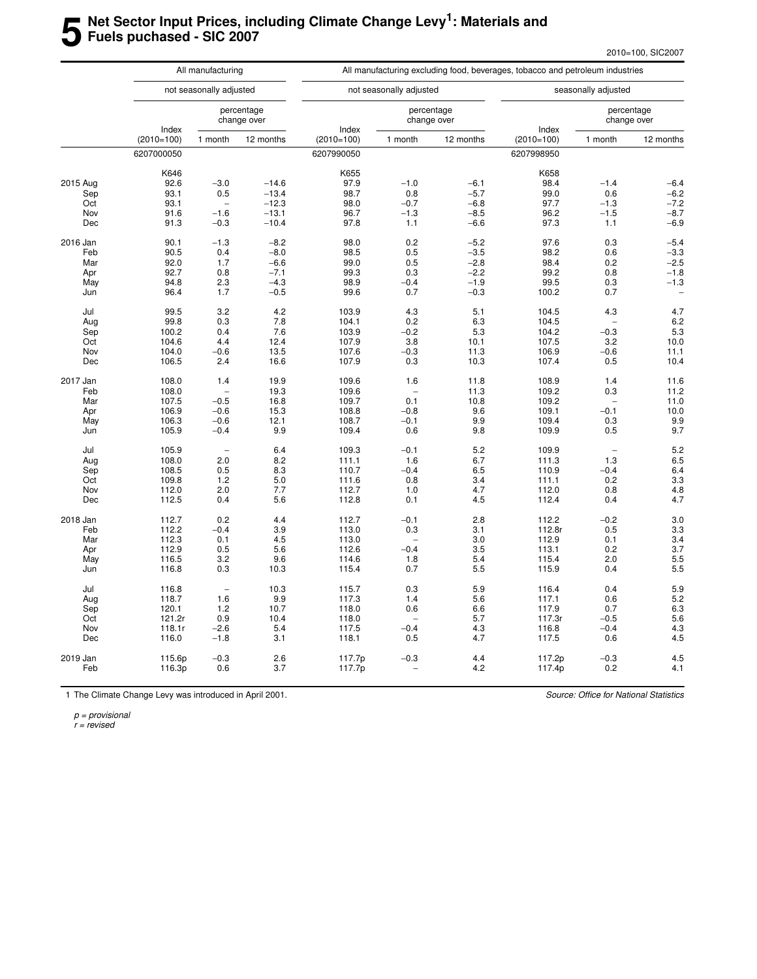## **5 Net Sector Input Prices, including Climate Change Levy<sup>1</sup> : Materials and Fuels puchased - SIC 2007**

|          |                       | All manufacturing               |                           | All manufacturing excluding food, beverages, tobacco and petroleum industries |                         |                           |                       |                     |                           |  |  |  |  |
|----------|-----------------------|---------------------------------|---------------------------|-------------------------------------------------------------------------------|-------------------------|---------------------------|-----------------------|---------------------|---------------------------|--|--|--|--|
|          |                       | not seasonally adjusted         |                           |                                                                               | not seasonally adjusted |                           |                       | seasonally adjusted |                           |  |  |  |  |
|          |                       |                                 | percentage<br>change over |                                                                               |                         | percentage<br>change over |                       |                     | percentage<br>change over |  |  |  |  |
|          | Index<br>$(2010=100)$ | 1 month                         | 12 months                 | Index<br>$(2010=100)$                                                         | 1 month                 | 12 months                 | Index<br>$(2010=100)$ | 1 month             | 12 months                 |  |  |  |  |
|          | 6207000050            |                                 |                           | 6207990050                                                                    |                         |                           | 6207998950            |                     |                           |  |  |  |  |
|          | K646                  |                                 |                           | K655                                                                          |                         |                           | K658                  |                     |                           |  |  |  |  |
| 2015 Aug | 92.6                  | $-3.0$                          | $-14.6$                   | 97.9                                                                          | $-1.0$                  | $-6.1$                    | 98.4                  | $-1.4$              | $-6.4$                    |  |  |  |  |
| Sep      | 93.1                  | 0.5                             | $-13.4$                   | 98.7                                                                          | 0.8                     | $-5.7$                    | 99.0                  | 0.6                 | $-6.2$                    |  |  |  |  |
| Oct      | 93.1                  | $\overline{a}$                  | $-12.3$                   | 98.0                                                                          | $-0.7$                  | $-6.8$                    | 97.7                  | $-1.3$              | $-7.2$                    |  |  |  |  |
| Nov      | 91.6                  | $-1.6$                          | $-13.1$                   | 96.7                                                                          | $-1.3$                  | $-8.5$                    | 96.2                  | $-1.5$              | $-8.7$                    |  |  |  |  |
| Dec      | 91.3                  | $-0.3$                          | $-10.4$                   | 97.8                                                                          | 1.1                     | $-6.6$                    | 97.3                  | 1.1                 | $-6.9$                    |  |  |  |  |
| 2016 Jan | 90.1                  | $-1.3$                          | $-8.2$                    | 98.0                                                                          | 0.2                     | $-5.2$                    | 97.6                  | 0.3                 | $-5.4$                    |  |  |  |  |
| Feb      | 90.5                  | 0.4                             | $-8.0$                    | 98.5                                                                          | 0.5                     | $-3.5$                    | 98.2                  | 0.6                 | $-3.3$                    |  |  |  |  |
| Mar      | 92.0                  | 1.7                             | $-6.6$                    | 99.0                                                                          | 0.5                     | $-2.8$                    | 98.4                  | 0.2                 | $-2.5$                    |  |  |  |  |
| Apr      | 92.7                  | 0.8                             | $-7.1$                    | 99.3                                                                          | 0.3                     | $-2.2$                    | 99.2                  | 0.8                 | $-1.8$                    |  |  |  |  |
| May      | 94.8                  | 2.3                             | $-4.3$                    | 98.9                                                                          | $-0.4$                  | $-1.9$                    | 99.5                  | 0.3                 | $-1.3$                    |  |  |  |  |
| Jun      | 96.4                  | 1.7                             | $-0.5$                    | 99.6                                                                          | 0.7                     | $-0.3$                    | 100.2                 | 0.7                 |                           |  |  |  |  |
| Jul      | 99.5                  | 3.2                             | 4.2                       | 103.9                                                                         | 4.3                     | 5.1                       | 104.5                 | 4.3                 | 4.7                       |  |  |  |  |
| Aug      | 99.8                  | 0.3                             | 7.8                       | 104.1                                                                         | 0.2                     | 6.3                       | 104.5                 |                     | 6.2                       |  |  |  |  |
| Sep      | 100.2                 | 0.4                             | 7.6                       | 103.9                                                                         | $-0.2$                  | 5.3                       | 104.2                 | $-0.3$              | 5.3                       |  |  |  |  |
| Oct      | 104.6                 | 4.4                             | 12.4                      | 107.9                                                                         | 3.8                     | 10.1                      | 107.5                 | 3.2                 | 10.0                      |  |  |  |  |
|          |                       |                                 |                           |                                                                               |                         |                           |                       |                     |                           |  |  |  |  |
| Nov      | 104.0                 | $-0.6$                          | 13.5                      | 107.6                                                                         | $-0.3$                  | 11.3                      | 106.9                 | $-0.6$              | 11.1                      |  |  |  |  |
| Dec      | 106.5                 | 2.4                             | 16.6                      | 107.9                                                                         | 0.3                     | 10.3                      | 107.4                 | 0.5                 | 10.4                      |  |  |  |  |
| 2017 Jan | 108.0                 | 1.4                             | 19.9                      | 109.6                                                                         | 1.6                     | 11.8                      | 108.9                 | 1.4                 | 11.6                      |  |  |  |  |
| Feb      | 108.0                 | ۳                               | 19.3                      | 109.6                                                                         |                         | 11.3                      | 109.2                 | 0.3                 | 11.2                      |  |  |  |  |
| Mar      | 107.5                 | $-0.5$                          | 16.8                      | 109.7                                                                         | 0.1                     | 10.8                      | 109.2                 |                     | 11.0                      |  |  |  |  |
| Apr      | 106.9                 | $-0.6$                          | 15.3                      | 108.8                                                                         | $-0.8$                  | 9.6                       | 109.1                 | $-0.1$              | 10.0                      |  |  |  |  |
| May      | 106.3                 | $-0.6$                          | 12.1                      | 108.7                                                                         | $-0.1$                  | 9.9                       | 109.4                 | 0.3                 | 9.9                       |  |  |  |  |
| Jun      | 105.9                 | $-0.4$                          | 9.9                       | 109.4                                                                         | 0.6                     | 9.8                       | 109.9                 | 0.5                 | 9.7                       |  |  |  |  |
| Jul      | 105.9                 | L.                              | 6.4                       | 109.3                                                                         | $-0.1$                  | 5.2                       | 109.9                 | L.                  | 5.2                       |  |  |  |  |
| Aug      | 108.0                 | 2.0                             | 8.2                       | 111.1                                                                         | 1.6                     | 6.7                       | 111.3                 | 1.3                 | 6.5                       |  |  |  |  |
| Sep      | 108.5                 | 0.5                             | 8.3                       | 110.7                                                                         | $-0.4$                  | 6.5                       | 110.9                 | $-0.4$              | 6.4                       |  |  |  |  |
| Oct      | 109.8                 | 1.2                             | 5.0                       | 111.6                                                                         | 0.8                     | 3.4                       | 111.1                 | 0.2                 | 3.3                       |  |  |  |  |
| Nov      | 112.0                 | 2.0                             | 7.7                       | 112.7                                                                         | 1.0                     | 4.7                       | 112.0                 | 0.8                 | 4.8                       |  |  |  |  |
| Dec      | 112.5                 | 0.4                             | 5.6                       | 112.8                                                                         | 0.1                     | 4.5                       | 112.4                 | 0.4                 | 4.7                       |  |  |  |  |
| 2018 Jan | 112.7                 | 0.2                             | 4.4                       | 112.7                                                                         | $-0.1$                  | 2.8                       | 112.2                 | $-0.2$              | 3.0                       |  |  |  |  |
| Feb      | 112.2                 | $-0.4$                          | 3.9                       | 113.0                                                                         | 0.3                     | 3.1                       | 112.8r                | 0.5                 | 3.3                       |  |  |  |  |
| Mar      | 112.3                 | 0.1                             | 4.5                       | 113.0                                                                         |                         | 3.0                       | 112.9                 | 0.1                 | 3.4                       |  |  |  |  |
| Apr      | 112.9                 | 0.5                             | 5.6                       | 112.6                                                                         | $-0.4$                  | 3.5                       | 113.1                 | 0.2                 | 3.7                       |  |  |  |  |
| May      | 116.5                 | 3.2                             | 9.6                       | 114.6                                                                         | 1.8                     | 5.4                       | 115.4                 | 2.0                 | 5.5                       |  |  |  |  |
|          |                       | 0.3                             |                           | 115.4                                                                         | 0.7                     | 5.5                       | 115.9                 | 0.4                 | 5.5                       |  |  |  |  |
| Jun      | 116.8                 |                                 | 10.3                      |                                                                               |                         |                           |                       |                     |                           |  |  |  |  |
| Jul      | 116.8                 | $\hspace{0.1mm}-\hspace{0.1mm}$ | 10.3                      | 115.7                                                                         | 0.3                     | 5.9                       | 116.4                 | 0.4                 | 5.9                       |  |  |  |  |
| Aug      | 118.7                 | 1.6                             | 9.9                       | 117.3                                                                         | 1.4                     | 5.6                       | 117.1                 | 0.6                 | 5.2                       |  |  |  |  |
| Sep      | 120.1                 | 1.2                             | 10.7                      | 118.0                                                                         | 0.6                     | 6.6                       | 117.9                 | 0.7                 | 6.3                       |  |  |  |  |
| Oct      | 121.2r                | 0.9                             | 10.4                      | 118.0                                                                         |                         | 5.7                       | 117.3r                | $-0.5$              | 5.6                       |  |  |  |  |
| Nov      | 118.1r                | $-2.6$                          | 5.4                       | 117.5                                                                         | $-0.4$                  | 4.3                       | 116.8                 | $-0.4$              | 4.3                       |  |  |  |  |
| Dec      | 116.0                 | $-1.8$                          | 3.1                       | 118.1                                                                         | 0.5                     | 4.7                       | 117.5                 | 0.6                 | 4.5                       |  |  |  |  |
| 2019 Jan | 115.6p                | $-0.3$                          | 2.6                       | 117.7p                                                                        | $-0.3$                  | 4.4                       | 117.2p                | $-0.3$              | 4.5                       |  |  |  |  |
| Feb      | 116.3p                | 0.6                             | 3.7                       | 117.7p                                                                        |                         | 4.2                       | 117.4p                | 0.2                 | 4.1                       |  |  |  |  |
|          |                       |                                 |                           |                                                                               |                         |                           |                       |                     |                           |  |  |  |  |

1 The Climate Change Levy was introduced in April 2001.

Source: Office for National Statistics

p = provisional

r = revised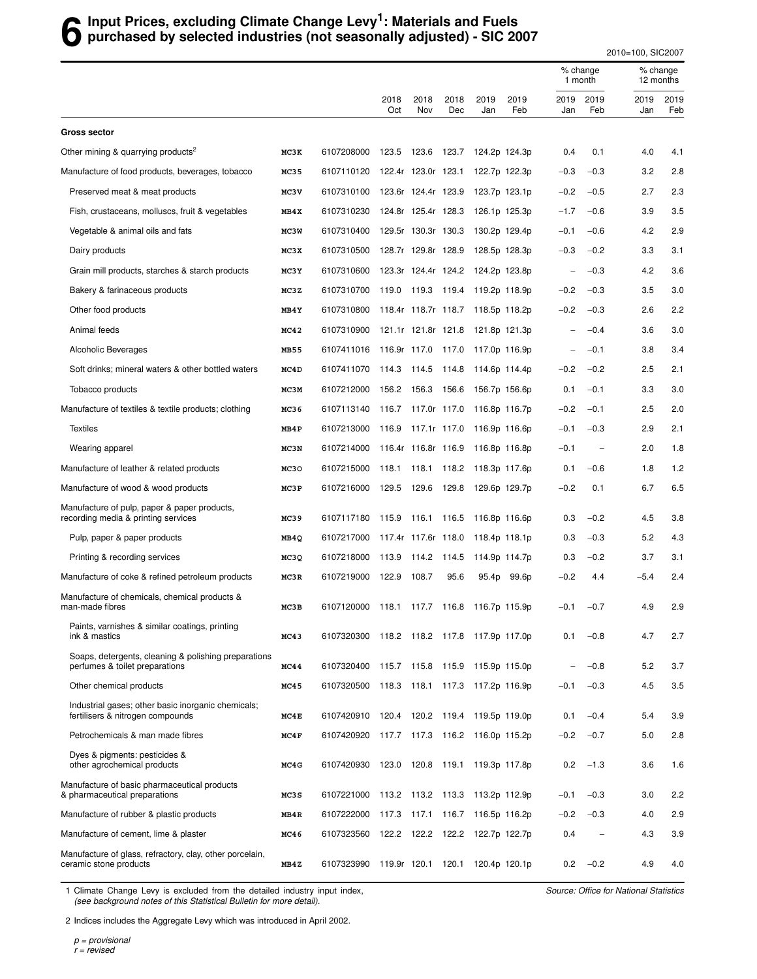## **6** Input Prices, excluding Climate Change Levy<sup>1</sup>: Materials and Fuels<br>**6** purchased by selected industries (not seasonally adjusted) - SIC 20 **purchased by selected industries (not seasonally adjusted) - SIC 2007**

2010=100, SIC2007

|                                                                                        |      |                                            |                     |                     |             |                                 |                   |             | % change<br>1 month      |             | % change<br>12 months |  |
|----------------------------------------------------------------------------------------|------|--------------------------------------------|---------------------|---------------------|-------------|---------------------------------|-------------------|-------------|--------------------------|-------------|-----------------------|--|
|                                                                                        |      |                                            | 2018<br>Oct         | 2018<br>Nov         | 2018<br>Dec | 2019<br>Jan                     | 2019<br>Feb       | 2019<br>Jan | 2019<br>Feb              | 2019<br>Jan | 2019<br>Feb           |  |
| <b>Gross sector</b>                                                                    |      |                                            |                     |                     |             |                                 |                   |             |                          |             |                       |  |
| Other mining & quarrying products <sup>2</sup>                                         | MC3K | 6107208000                                 | 123.5               | 123.6               | 123.7       |                                 | 124.2p 124.3p     | 0.4         | 0.1                      | 4.0         | 4.1                   |  |
| Manufacture of food products, beverages, tobacco                                       | MC35 | 6107110120                                 | 122.4r 123.0r 123.1 |                     |             |                                 | 122.7p 122.3p     | $-0.3$      | $-0.3$                   | 3.2         | 2.8                   |  |
| Preserved meat & meat products                                                         | MC3V | 6107310100                                 |                     | 123.6r 124.4r 123.9 |             |                                 | 123.7p 123.1p     | $-0.2$      | $-0.5$                   | 2.7         | 2.3                   |  |
| Fish, crustaceans, molluscs, fruit & vegetables                                        | MB4X | 6107310230                                 |                     | 124.8r 125.4r 128.3 |             |                                 | 126.1p 125.3p     | $-1.7$      | $-0.6$                   | 3.9         | 3.5                   |  |
| Vegetable & animal oils and fats                                                       | MC3W | 6107310400                                 | 129.5r 130.3r 130.3 |                     |             |                                 | 130.2p 129.4p     | $-0.1$      | $-0.6$                   | 4.2         | 2.9                   |  |
| Dairy products                                                                         | MC3X | 6107310500                                 |                     | 128.7r 129.8r 128.9 |             |                                 | 128.5p 128.3p     | $-0.3$      | $-0.2$                   | 3.3         | 3.1                   |  |
| Grain mill products, starches & starch products                                        | MC3Y | 6107310600                                 | 123.3r 124.4r 124.2 |                     |             |                                 | 124.2p 123.8p     |             | $-0.3$                   | 4.2         | 3.6                   |  |
| Bakery & farinaceous products                                                          | MC3Z | 6107310700                                 | 119.0 119.3 119.4   |                     |             |                                 | 119.2p 118.9p     | $-0.2$      | $-0.3$                   | 3.5         | 3.0                   |  |
| Other food products                                                                    | MB4Y | 6107310800                                 | 118.4r 118.7r 118.7 |                     |             |                                 | 118.5p 118.2p     | $-0.2$      | $-0.3$                   | 2.6         | 2.2                   |  |
| Animal feeds                                                                           | MC42 | 6107310900                                 | 121.1r 121.8r 121.8 |                     |             |                                 | 121.8p 121.3p     |             | $-0.4$                   | 3.6         | 3.0                   |  |
| Alcoholic Beverages                                                                    | MB55 | 6107411016 116.9r 117.0 117.0              |                     |                     |             | 117.0p 116.9p                   |                   |             | $-0.1$                   | 3.8         | 3.4                   |  |
| Soft drinks; mineral waters & other bottled waters                                     | MC4D | 6107411070                                 | 114.3 114.5         |                     | 114.8       |                                 | 114.6p 114.4p     | $-0.2$      | $-0.2$                   | 2.5         | 2.1                   |  |
| Tobacco products                                                                       | MC3M | 6107212000                                 | 156.2               | 156.3               | 156.6       |                                 | 156.7p 156.6p     | 0.1         | $-0.1$                   | 3.3         | 3.0                   |  |
| Manufacture of textiles & textile products; clothing                                   | MC36 | 6107113140                                 | 116.7 117.0r 117.0  |                     |             | 116.8p 116.7p                   |                   | $-0.2$      | $-0.1$                   | 2.5         | 2.0                   |  |
| <b>Textiles</b>                                                                        | MB4P | 6107213000                                 | 116.9               | 117.1r 117.0        |             |                                 | 116.9p 116.6p     | $-0.1$      | $-0.3$                   | 2.9         | 2.1                   |  |
| Wearing apparel                                                                        | MC3N | 6107214000                                 | 116.4r 116.8r 116.9 |                     |             |                                 | 116.8p 116.8p     | $-0.1$      | $\overline{\phantom{0}}$ | 2.0         | 1.8                   |  |
| Manufacture of leather & related products                                              | MC30 | 6107215000                                 | 118.1 118.1         |                     | 118.2       | 118.3p 117.6p                   |                   | 0.1         | $-0.6$                   | 1.8         | 1.2                   |  |
| Manufacture of wood & wood products                                                    | MC3P | 6107216000                                 | 129.5               | 129.6               | 129.8       |                                 | 129.6p 129.7p     | $-0.2$      | 0.1                      | 6.7         | 6.5                   |  |
| Manufacture of pulp, paper & paper products,<br>recording media & printing services    | MC39 | 6107117180                                 | 115.9               | 116.1               | 116.5       |                                 | 116.8p 116.6p     | 0.3         | $-0.2$                   | 4.5         | 3.8                   |  |
| Pulp, paper & paper products                                                           | MB4Q | 6107217000                                 | 117.4r 117.6r 118.0 |                     |             |                                 | 118.4p 118.1p     | 0.3         | $-0.3$                   | 5.2         | 4.3                   |  |
| Printing & recording services                                                          | MC3Q | 6107218000                                 | 113.9 114.2 114.5   |                     |             |                                 | 114.9p 114.7p     | 0.3         | $-0.2$                   | 3.7         | 3.1                   |  |
| Manufacture of coke & refined petroleum products                                       | MC3R | 6107219000                                 | 122.9               | 108.7               | 95.6        | 95.4p                           | 99.6 <sub>p</sub> | $-0.2$      | 4.4                      | $-5.4$      | 2.4                   |  |
| Manufacture of chemicals, chemical products &<br>man-made fibres                       | MC3B | 6107120000                                 | 118.1               | 117.7               | 116.8       |                                 | 116.7p 115.9p     | $-0.1$      | $-0.7$                   | 4.9         | 2.9                   |  |
| Paints, varnishes & similar coatings, printing<br>ink & mastics                        | MC43 | 6107320300 118.2 118.2 117.8 117.9p 117.0p |                     |                     |             |                                 |                   | 0.1         | $-0.8$                   | 4.7         | 2.7                   |  |
| Soaps, detergents, cleaning & polishing preparations<br>perfumes & toilet preparations | MC44 | 6107320400                                 |                     |                     |             | 115.7 115.8 115.9 115.9p 115.0p |                   |             | $-0.8$                   | 5.2         | 3.7                   |  |
| Other chemical products                                                                | MC45 | 6107320500 118.3 118.1                     |                     |                     |             | 117.3 117.2p 116.9p             |                   | $-0.1$      | $-0.3$                   | 4.5         | 3.5                   |  |
| Industrial gases; other basic inorganic chemicals;<br>fertilisers & nitrogen compounds | MC4E | 6107420910 120.4 120.2 119.4 119.5p 119.0p |                     |                     |             |                                 |                   | 0.1         | $-0.4$                   | 5.4         | 3.9                   |  |
| Petrochemicals & man made fibres                                                       | MC4F | 6107420920 117.7 117.3 116.2 116.0p 115.2p |                     |                     |             |                                 |                   | $-0.2$      | $-0.7$                   | 5.0         | 2.8                   |  |
| Dyes & pigments: pesticides &<br>other agrochemical products                           | MC4G | 6107420930 123.0 120.8 119.1 119.3p 117.8p |                     |                     |             |                                 |                   | 0.2         | $-1.3$                   | 3.6         | 1.6                   |  |
| Manufacture of basic pharmaceutical products<br>& pharmaceutical preparations          | MC3S | 6107221000                                 |                     |                     |             | 113.2 113.2 113.3 113.2p 112.9p |                   | $-0.1$      | $-0.3$                   | 3.0         | 2.2                   |  |
| Manufacture of rubber & plastic products                                               | MB4R | 6107222000                                 | 117.3               | 117.1               | 116.7       |                                 | 116.5p 116.2p     | $-0.2$      | $-0.3$                   | 4.0         | 2.9                   |  |
| Manufacture of cement, lime & plaster                                                  | MC46 | 6107323560                                 | 122.2               | 122.2               | 122.2       |                                 | 122.7p 122.7p     | 0.4         | $\overline{\phantom{a}}$ | 4.3         | 3.9                   |  |
| Manufacture of glass, refractory, clay, other porcelain,<br>ceramic stone products     | MB4Z | 6107323990 119.9r 120.1                    |                     |                     | 120.1       |                                 | 120.4p 120.1p     | 0.2         | $-0.2$                   | 4.9         | 4.0                   |  |

1 Climate Change Levy is excluded from the detailed industry input index, (see background notes of this Statistical Bulletin for more detail).

Source: Office for National Statistics

2 Indices includes the Aggregate Levy which was introduced in April 2002.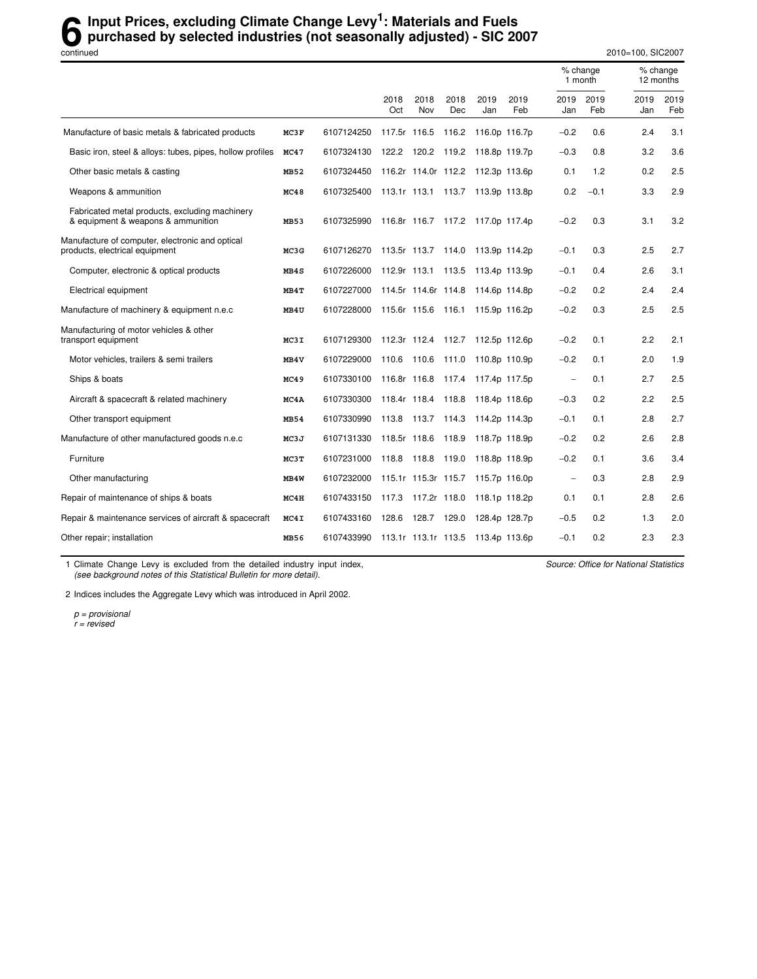## **6** Input Prices, excluding Climate Change Levy<sup>1</sup>: Materials and Fuels<br>
purchased by selected industries (not seasonally adjusted) - SIC 20 **purchased by selected industries (not seasonally adjusted) - SIC 2007**

continued 2010=100, SIC2007

|                                                                                      |      |                                              |                     |             |             |                                   |             |                          | % change<br>1 month |             | % change<br>12 months |
|--------------------------------------------------------------------------------------|------|----------------------------------------------|---------------------|-------------|-------------|-----------------------------------|-------------|--------------------------|---------------------|-------------|-----------------------|
|                                                                                      |      |                                              | 2018<br>Oct         | 2018<br>Nov | 2018<br>Dec | 2019<br>Jan                       | 2019<br>Feb | 2019<br>Jan              | 2019<br>Feb         | 2019<br>Jan | 2019<br>Feb           |
| Manufacture of basic metals & fabricated products                                    | MC3F | 6107124250                                   | 117.5r 116.5        |             |             | 116.2 116.0p 116.7p               |             | $-0.2$                   | 0.6                 | 2.4         | 3.1                   |
| Basic iron, steel & alloys: tubes, pipes, hollow profiles                            | MC47 | 6107324130                                   |                     |             |             | 122.2 120.2 119.2 118.8p 119.7p   |             | $-0.3$                   | 0.8                 | 3.2         | 3.6                   |
| Other basic metals & casting                                                         | MB52 | 6107324450                                   |                     |             |             | 116.2r 114.0r 112.2 112.3p 113.6p |             | 0.1                      | 1.2                 | 0.2         | 2.5                   |
| Weapons & ammunition                                                                 | MC48 | 6107325400                                   |                     |             |             | 113.1r 113.1 113.7 113.9p 113.8p  |             | 0.2                      | $-0.1$              | 3.3         | 2.9                   |
| Fabricated metal products, excluding machinery<br>& equipment & weapons & ammunition | MB53 | 6107325990                                   |                     |             |             | 116.8r 116.7 117.2 117.0p 117.4p  |             | $-0.2$                   | 0.3                 | 3.1         | 3.2                   |
| Manufacture of computer, electronic and optical<br>products, electrical equipment    | MC3G | 6107126270                                   | 113.5r 113.7 114.0  |             |             | 113.9p 114.2p                     |             | $-0.1$                   | 0.3                 | 2.5         | 2.7                   |
| Computer, electronic & optical products                                              | MB4S | 6107226000                                   |                     |             |             | 112.9r 113.1 113.5 113.4p 113.9p  |             | $-0.1$                   | 0.4                 | 2.6         | 3.1                   |
| Electrical equipment                                                                 | MB4T | 6107227000                                   |                     |             |             | 114.5r 114.6r 114.8 114.6p 114.8p |             | $-0.2$                   | 0.2                 | 2.4         | 2.4                   |
| Manufacture of machinery & equipment n.e.c                                           | MB4U | 6107228000                                   |                     |             |             | 115.6r 115.6 116.1 115.9p 116.2p  |             | $-0.2$                   | 0.3                 | 2.5         | 2.5                   |
| Manufacturing of motor vehicles & other<br>transport equipment                       | MC3I | 6107129300                                   |                     |             |             | 112.3r 112.4 112.7 112.5p 112.6p  |             | $-0.2$                   | 0.1                 | 2.2         | 2.1                   |
| Motor vehicles, trailers & semi trailers                                             | MB4V | 6107229000                                   | 110.6 110.6         |             | 111.0       | 110.8p 110.9p                     |             | $-0.2$                   | 0.1                 | 2.0         | 1.9                   |
| Ships & boats                                                                        | MC49 | 6107330100                                   | 116.8r 116.8        |             |             | 117.4 117.4p 117.5p               |             | $\overline{\phantom{a}}$ | 0.1                 | 2.7         | 2.5                   |
| Aircraft & spacecraft & related machinery                                            | MC4A | 6107330300                                   | 118.4r 118.4        |             | 118.8       | 118.4p 118.6p                     |             | $-0.3$                   | 0.2                 | 2.2         | 2.5                   |
| Other transport equipment                                                            | MB54 | 6107330990                                   | 113.8 113.7 114.3   |             |             | 114.2p 114.3p                     |             | $-0.1$                   | 0.1                 | 2.8         | 2.7                   |
| Manufacture of other manufactured goods n.e.c                                        | MC3J | 6107131330                                   | 118.5r 118.6        |             | 118.9       | 118.7p 118.9p                     |             | $-0.2$                   | 0.2                 | 2.6         | 2.8                   |
| Furniture                                                                            | MC3T | 6107231000                                   | 118.8 118.8 119.0   |             |             | 118.8p 118.9p                     |             | $-0.2$                   | 0.1                 | 3.6         | 3.4                   |
| Other manufacturing                                                                  | MB4W | 6107232000                                   | 115.1r 115.3r 115.7 |             |             | 115.7p 116.0p                     |             | $\overline{\phantom{0}}$ | 0.3                 | 2.8         | 2.9                   |
| Repair of maintenance of ships & boats                                               | MC4H | 6107433150                                   | 117.3 117.2r 118.0  |             |             | 118.1p 118.2p                     |             | 0.1                      | 0.1                 | 2.8         | 2.6                   |
| Repair & maintenance services of aircraft & spacecraft                               | MC4I | 6107433160                                   | 128.6               | 128.7       | 129.0       | 128.4p 128.7p                     |             | $-0.5$                   | 0.2                 | 1.3         | 2.0                   |
| Other repair; installation                                                           | MB56 | 6107433990 113.1r 113.1r 113.5 113.4p 113.6p |                     |             |             |                                   |             | $-0.1$                   | 0.2                 | 2.3         | 2.3                   |

1 Climate Change Levy is excluded from the detailed industry input index, (see background notes of this Statistical Bulletin for more detail).

Source: Office for National Statistics

2 Indices includes the Aggregate Levy which was introduced in April 2002.

p = provisional r = revised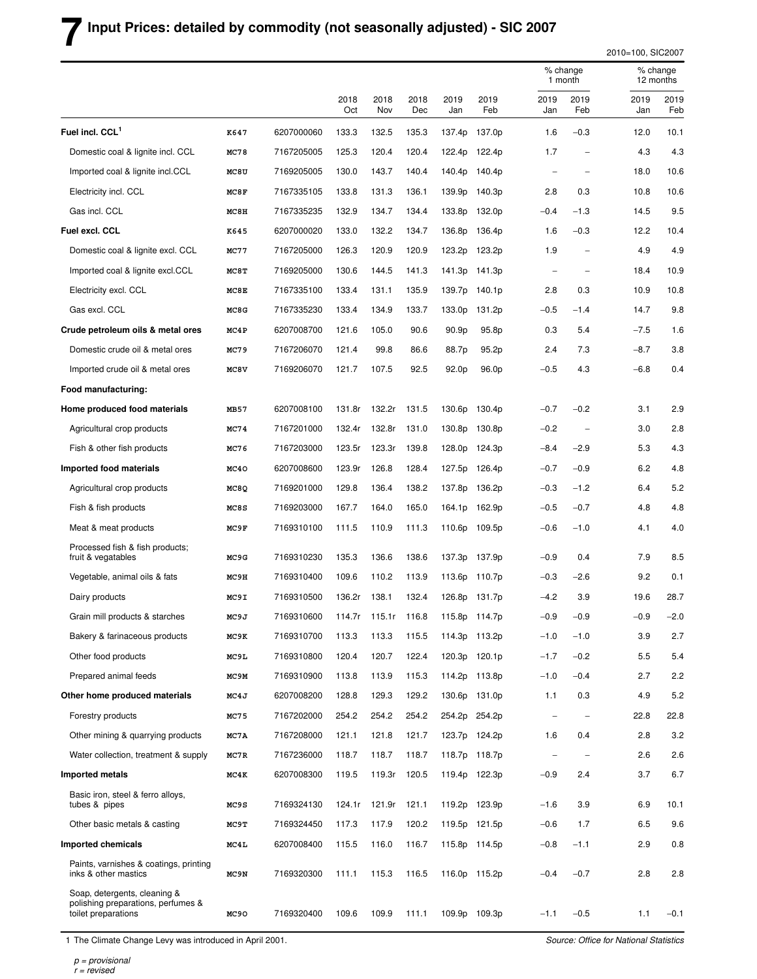## **7 Input Prices: detailed by commodity (not seasonally adjusted) - SIC 2007**

2010=100, SIC2007

|                                                                                           |                  |            |             |             |             |             |               |                          | % change<br>1 month      |             | % change<br>12 months |  |
|-------------------------------------------------------------------------------------------|------------------|------------|-------------|-------------|-------------|-------------|---------------|--------------------------|--------------------------|-------------|-----------------------|--|
|                                                                                           |                  |            | 2018<br>Oct | 2018<br>Nov | 2018<br>Dec | 2019<br>Jan | 2019<br>Feb   | 2019<br>Jan              | 2019<br>Feb              | 2019<br>Jan | 2019<br>Feb           |  |
| Fuel incl. CCL <sup>1</sup>                                                               | K647             | 6207000060 | 133.3       | 132.5       | 135.3       | 137.4p      | 137.0p        | 1.6                      | $-0.3$                   | 12.0        | 10.1                  |  |
| Domestic coal & lignite incl. CCL                                                         | MC78             | 7167205005 | 125.3       | 120.4       | 120.4       | 122.4p      | 122.4p        | 1.7                      | $\overline{\phantom{0}}$ | 4.3         | 4.3                   |  |
| Imported coal & lignite incl.CCL                                                          | MC8U             | 7169205005 | 130.0       | 143.7       | 140.4       |             | 140.4p 140.4p | $\overline{\phantom{0}}$ | $\overline{\phantom{a}}$ | 18.0        | 10.6                  |  |
| Electricity incl. CCL                                                                     | MC8F             | 7167335105 | 133.8       | 131.3       | 136.1       | 139.9p      | 140.3p        | 2.8                      | 0.3                      | 10.8        | 10.6                  |  |
| Gas incl. CCL                                                                             | MC <sub>8H</sub> | 7167335235 | 132.9       | 134.7       | 134.4       | 133.8p      | 132.0p        | $-0.4$                   | $-1.3$                   | 14.5        | 9.5                   |  |
| Fuel excl. CCL                                                                            | K645             | 6207000020 | 133.0       | 132.2       | 134.7       | 136.8p      | 136.4p        | 1.6                      | $-0.3$                   | 12.2        | 10.4                  |  |
| Domestic coal & lignite excl. CCL                                                         | MC77             | 7167205000 | 126.3       | 120.9       | 120.9       | 123.2p      | 123.2p        | 1.9                      | $\overline{\phantom{a}}$ | 4.9         | 4.9                   |  |
| Imported coal & lignite excl.CCL                                                          | MC8T             | 7169205000 | 130.6       | 144.5       | 141.3       | 141.3p      | 141.3p        | $\overline{\phantom{a}}$ | $\overline{\phantom{0}}$ | 18.4        | 10.9                  |  |
| Electricity excl. CCL                                                                     | MC8E             | 7167335100 | 133.4       | 131.1       | 135.9       | 139.7p      | 140.1p        | 2.8                      | 0.3                      | 10.9        | 10.8                  |  |
| Gas excl. CCL                                                                             | MC8G             | 7167335230 | 133.4       | 134.9       | 133.7       | 133.0p      | 131.2p        | $-0.5$                   | $-1.4$                   | 14.7        | 9.8                   |  |
| Crude petroleum oils & metal ores                                                         | MC4P             | 6207008700 | 121.6       | 105.0       | 90.6        | 90.9p       | 95.8p         | 0.3                      | 5.4                      | $-7.5$      | 1.6                   |  |
| Domestic crude oil & metal ores                                                           | MC79             | 7167206070 | 121.4       | 99.8        | 86.6        | 88.7p       | 95.2p         | 2.4                      | 7.3                      | $-8.7$      | 3.8                   |  |
| Imported crude oil & metal ores                                                           | MC8V             | 7169206070 | 121.7       | 107.5       | 92.5        | 92.0p       | 96.0p         | $-0.5$                   | 4.3                      | $-6.8$      | 0.4                   |  |
| Food manufacturing:                                                                       |                  |            |             |             |             |             |               |                          |                          |             |                       |  |
| Home produced food materials                                                              | MB57             | 6207008100 | 131.8r      | 132.2r      | 131.5       | 130.6p      | 130.4p        | $-0.7$                   | $-0.2$                   | 3.1         | 2.9                   |  |
| Agricultural crop products                                                                | MC74             | 7167201000 | 132.4r      | 132.8r      | 131.0       | 130.8p      | 130.8p        | $-0.2$                   | $\overline{\phantom{0}}$ | 3.0         | 2.8                   |  |
| Fish & other fish products                                                                | MC76             | 7167203000 | 123.5r      | 123.3r      | 139.8       | 128.0p      | 124.3p        | $-8.4$                   | $-2.9$                   | 5.3         | 4.3                   |  |
| Imported food materials                                                                   | MC40             | 6207008600 | 123.9r      | 126.8       | 128.4       | 127.5p      | 126.4p        | $-0.7$                   | $-0.9$                   | 6.2         | 4.8                   |  |
| Agricultural crop products                                                                | MC8Q             | 7169201000 | 129.8       | 136.4       | 138.2       | 137.8p      | 136.2p        | $-0.3$                   | $-1.2$                   | 6.4         | 5.2                   |  |
| Fish & fish products                                                                      | MC8S             | 7169203000 | 167.7       | 164.0       | 165.0       |             | 164.1p 162.9p | $-0.5$                   | $-0.7$                   | 4.8         | 4.8                   |  |
| Meat & meat products                                                                      | MC9F             | 7169310100 | 111.5       | 110.9       | 111.3       |             | 110.6p 109.5p | $-0.6$                   | $-1.0$                   | 4.1         | 4.0                   |  |
| Processed fish & fish products;<br>fruit & vegatables                                     | MC9G             | 7169310230 | 135.3       | 136.6       | 138.6       |             | 137.3p 137.9p | $-0.9$                   | 0.4                      | 7.9         | 8.5                   |  |
| Vegetable, animal oils & fats                                                             | MC9H             | 7169310400 | 109.6       | 110.2       | 113.9       | 113.6p      | 110.7p        | $-0.3$                   | -2.6                     | 9.2         | 0.1                   |  |
| Dairy products                                                                            | MC9I             | 7169310500 | 136.2r      | 138.1       | 132.4       | 126.8p      | 131.7p        | $-4.2$                   | 3.9                      | 19.6        | 28.7                  |  |
| Grain mill products & starches                                                            | MC9J             | 7169310600 | 114.7r      | 115.1r      | 116.8       |             | 115.8p 114.7p | $-0.9$                   | $-0.9$                   | -0.9        | $-2.0$                |  |
| Bakery & farinaceous products                                                             | MC9K             | 7169310700 | 113.3       | 113.3       | 115.5       |             | 114.3p 113.2p | $-1.0$                   | $-1.0$                   | 3.9         | 2.7                   |  |
| Other food products                                                                       | MC9L             | 7169310800 | 120.4       | 120.7       | 122.4       |             | 120.3p 120.1p | $-1.7$                   | $-0.2$                   | 5.5         | 5.4                   |  |
| Prepared animal feeds                                                                     | MC9M             | 7169310900 | 113.8       | 113.9       | 115.3       |             | 114.2p 113.8p | $-1.0$                   | $-0.4$                   | 2.7         | 2.2                   |  |
| Other home produced materials                                                             | MC4J             | 6207008200 | 128.8       | 129.3       | 129.2       |             | 130.6p 131.0p | 1.1                      | 0.3                      | 4.9         | 5.2                   |  |
| Forestry products                                                                         | MC75             | 7167202000 | 254.2       | 254.2       | 254.2       |             | 254.2p 254.2p | $\overline{\phantom{0}}$ | $\qquad \qquad -$        | 22.8        | 22.8                  |  |
| Other mining & quarrying products                                                         | MC7A             | 7167208000 | 121.1       | 121.8       | 121.7       |             | 123.7p 124.2p | 1.6                      | 0.4                      | 2.8         | 3.2                   |  |
| Water collection, treatment & supply                                                      | MC7R             | 7167236000 | 118.7       | 118.7       | 118.7       |             | 118.7p 118.7p | $\overline{\phantom{0}}$ | $\overline{\phantom{0}}$ | 2.6         | 2.6                   |  |
| Imported metals                                                                           | MC4K             | 6207008300 | 119.5       | 119.3r      | 120.5       |             | 119.4p 122.3p | $-0.9$                   | 2.4                      | 3.7         | 6.7                   |  |
| Basic iron, steel & ferro alloys,<br>tubes & pipes                                        | MC9S             | 7169324130 | 124.1r      | 121.9r      | 121.1       |             | 119.2p 123.9p | $-1.6$                   | 3.9                      | 6.9         | 10.1                  |  |
| Other basic metals & casting                                                              | MC9T             | 7169324450 | 117.3       | 117.9       | 120.2       |             | 119.5p 121.5p | $-0.6$                   | 1.7                      | 6.5         | 9.6                   |  |
| Imported chemicals                                                                        | MC4L             | 6207008400 | 115.5       | 116.0       | 116.7       |             | 115.8p 114.5p | $-0.8$                   | $-1.1$                   | 2.9         | 0.8                   |  |
| Paints, varnishes & coatings, printing<br>inks & other mastics                            | MC9N             | 7169320300 | 111.1       | 115.3       | 116.5       |             | 116.0p 115.2p | $-0.4$                   | $-0.7$                   | 2.8         | 2.8                   |  |
| Soap, detergents, cleaning &<br>polishing preparations, perfumes &<br>toilet preparations | MC90             | 7169320400 | 109.6       | 109.9       | 111.1       |             | 109.9p 109.3p | $-1.1$                   | $-0.5$                   | 1.1         | $-0.1$                |  |

1 The Climate Change Levy was introduced in April 2001.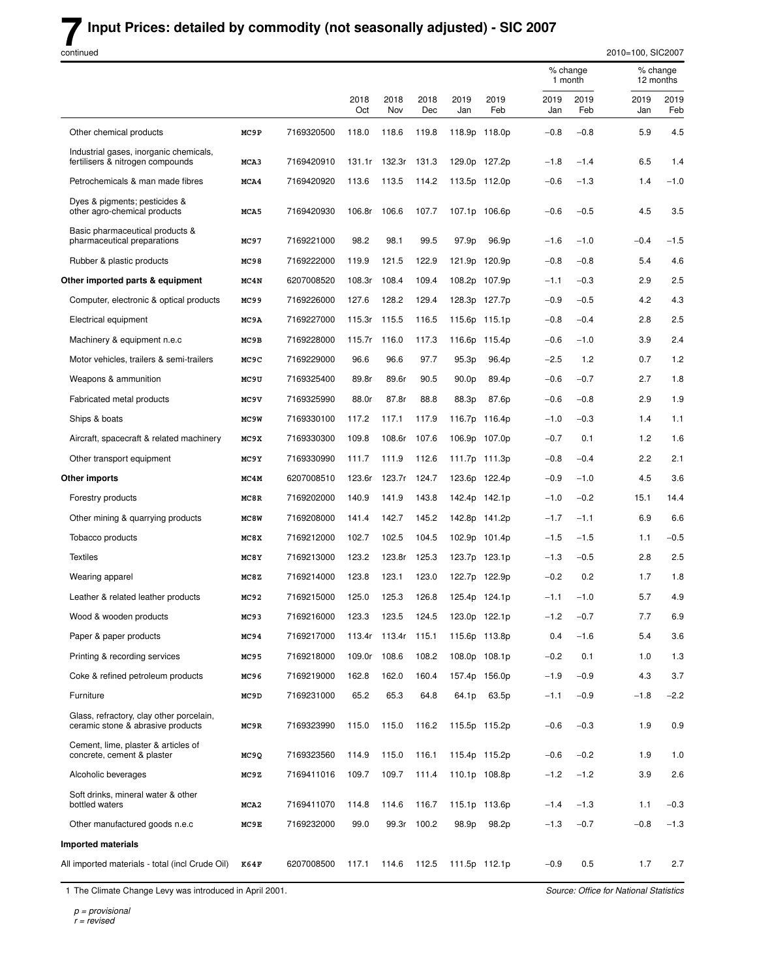### **Input Prices: detailed by commodity (not seasonally adjusted) - SIC 2007**

continued

Ĭ.

|                                                                               |                   |            |             |                     |             |                   |               |             | 1 month     |             | 12 months   |
|-------------------------------------------------------------------------------|-------------------|------------|-------------|---------------------|-------------|-------------------|---------------|-------------|-------------|-------------|-------------|
|                                                                               |                   |            | 2018<br>Oct | 2018<br>Nov         | 2018<br>Dec | 2019<br>Jan       | 2019<br>Feb   | 2019<br>Jan | 2019<br>Feb | 2019<br>Jan | 2019<br>Feb |
| Other chemical products                                                       | MC9P              | 7169320500 | 118.0       | 118.6               | 119.8       |                   | 118.9p 118.0p | $-0.8$      | $-0.8$      | 5.9         | 4.5         |
| Industrial gases, inorganic chemicals,<br>fertilisers & nitrogen compounds    | MCA3              | 7169420910 | 131.1r      | 132.3r              | 131.3       |                   | 129.0p 127.2p | $-1.8$      | $-1.4$      | 6.5         | 1.4         |
| Petrochemicals & man made fibres                                              | MCA4              | 7169420920 | 113.6       | 113.5               | 114.2       |                   | 113.5p 112.0p | $-0.6$      | $-1.3$      | 1.4         | $-1.0$      |
| Dyes & pigments; pesticides &<br>other agro-chemical products                 | MCA5              | 7169420930 | 106.8r      | 106.6               | 107.7       |                   | 107.1p 106.6p | $-0.6$      | $-0.5$      | 4.5         | 3.5         |
| Basic pharmaceutical products &<br>pharmaceutical preparations                | MC97              | 7169221000 | 98.2        | 98.1                | 99.5        | 97.9p             | 96.9p         | $-1.6$      | $-1.0$      | $-0.4$      | $-1.5$      |
| Rubber & plastic products                                                     | MC98              | 7169222000 | 119.9       | 121.5               | 122.9       |                   | 121.9p 120.9p | $-0.8$      | $-0.8$      | 5.4         | 4.6         |
| Other imported parts & equipment                                              | MC4N              | 6207008520 | 108.3r      | 108.4               | 109.4       |                   | 108.2p 107.9p | $-1.1$      | $-0.3$      | 2.9         | 2.5         |
| Computer, electronic & optical products                                       | MC99              | 7169226000 | 127.6       | 128.2               | 129.4       | 128.3p            | 127.7p        | $-0.9$      | $-0.5$      | 4.2         | 4.3         |
| Electrical equipment                                                          | MC9A              | 7169227000 | 115.3r      | 115.5               | 116.5       |                   | 115.6p 115.1p | $-0.8$      | $-0.4$      | 2.8         | 2.5         |
| Machinery & equipment n.e.c                                                   | MC9B              | 7169228000 | 115.7r      | 116.0               | 117.3       |                   | 116.6p 115.4p | $-0.6$      | $-1.0$      | 3.9         | 2.4         |
| Motor vehicles, trailers & semi-trailers                                      | MC9C              | 7169229000 | 96.6        | 96.6                | 97.7        | 95.3p             | 96.4p         | $-2.5$      | 1.2         | 0.7         | 1.2         |
| Weapons & ammunition                                                          | MC9U              | 7169325400 | 89.8r       | 89.6r               | 90.5        | 90.0 <sub>p</sub> | 89.4p         | $-0.6$      | $-0.7$      | 2.7         | 1.8         |
| Fabricated metal products                                                     | MC9V              | 7169325990 | 88.0r       | 87.8r               | 88.8        | 88.3p             | 87.6p         | $-0.6$      | $-0.8$      | 2.9         | 1.9         |
| Ships & boats                                                                 | MC <sub>9</sub> W | 7169330100 | 117.2       | 117.1               | 117.9       | 116.7p            | 116.4p        | $-1.0$      | $-0.3$      | 1.4         | 1.1         |
| Aircraft, spacecraft & related machinery                                      | MC9X              | 7169330300 | 109.8       | 108.6r              | 107.6       |                   | 106.9p 107.0p | $-0.7$      | 0.1         | 1.2         | 1.6         |
| Other transport equipment                                                     | MC9Y              | 7169330990 | 111.7       | 111.9               | 112.6       |                   | 111.7p 111.3p | $-0.8$      | $-0.4$      | 2.2         | 2.1         |
| Other imports                                                                 | MC4M              | 6207008510 | 123.6r      | 123.7r              | 124.7       | 123.6p            | 122.4p        | $-0.9$      | $-1.0$      | 4.5         | 3.6         |
| Forestry products                                                             | MC8R              | 7169202000 | 140.9       | 141.9               | 143.8       |                   | 142.4p 142.1p | $-1.0$      | $-0.2$      | 15.1        | 14.4        |
| Other mining & quarrying products                                             | MC8W              | 7169208000 | 141.4       | 142.7               | 145.2       |                   | 142.8p 141.2p | $-1.7$      | $-1.1$      | 6.9         | 6.6         |
| Tobacco products                                                              | MC8X              | 7169212000 | 102.7       | 102.5               | 104.5       |                   | 102.9p 101.4p | $-1.5$      | $-1.5$      | 1.1         | $-0.5$      |
| <b>Textiles</b>                                                               | MC8Y              | 7169213000 | 123.2       | 123.8r              | 125.3       |                   | 123.7p 123.1p | $-1.3$      | $-0.5$      | 2.8         | 2.5         |
| Wearing apparel                                                               | MC8Z              | 7169214000 | 123.8       | 123.1               | 123.0       |                   | 122.7p 122.9p | $-0.2$      | 0.2         | 1.7         | 1.8         |
| Leather & related leather products                                            | MC92              | 7169215000 | 125.0       | 125.3               | 126.8       |                   | 125.4p 124.1p | $-1.1$      | $-1.0$      | 5.7         | 4.9         |
| Wood & wooden products                                                        | MC93              | 7169216000 | 123.3       | 123.5               | 124.5       |                   | 123.0p 122.1p | $-1.2$      | $-0.7$      | 7.7         | 6.9         |
| Paper & paper products                                                        | MC94              | 7169217000 |             | 113.4r 113.4r 115.1 |             |                   | 115.6p 113.8p | 0.4         | $-1.6$      | 5.4         | $3.6\,$     |
| Printing & recording services                                                 | MC95              | 7169218000 | 109.0r      | 108.6               | 108.2       |                   | 108.0p 108.1p | $-0.2$      | 0.1         | 1.0         | 1.3         |
| Coke & refined petroleum products                                             | MC96              | 7169219000 | 162.8       | 162.0               | 160.4       |                   | 157.4p 156.0p | $-1.9$      | $-0.9$      | 4.3         | 3.7         |
| Furniture                                                                     | MC9D              | 7169231000 | 65.2        | 65.3                | 64.8        | 64.1p             | 63.5p         | $-1.1$      | $-0.9$      | $-1.8$      | $-2.2$      |
| Glass, refractory, clay other porcelain,<br>ceramic stone & abrasive products | MC9R              | 7169323990 | 115.0       | 115.0               | 116.2       |                   | 115.5p 115.2p | $-0.6$      | $-0.3$      | 1.9         | 0.9         |
| Cement, lime, plaster & articles of<br>concrete, cement & plaster             | MC9Q              | 7169323560 | 114.9       | 115.0               | 116.1       |                   | 115.4p 115.2p | $-0.6$      | $-0.2$      | 1.9         | 1.0         |
| Alcoholic beverages                                                           | MC9Z              | 7169411016 | 109.7       | 109.7               | 111.4       |                   | 110.1p 108.8p | $-1.2$      | $-1.2$      | 3.9         | 2.6         |
| Soft drinks, mineral water & other<br>bottled waters                          | MCA2              | 7169411070 | 114.8       | 114.6               | 116.7       |                   | 115.1p 113.6p | $-1.4$      | $-1.3$      | 1.1         | $-0.3$      |
| Other manufactured goods n.e.c                                                | MC9E              | 7169232000 | 99.0        | 99.3r               | 100.2       | 98.9p             | 98.2p         | $-1.3$      | $-0.7$      | $-0.8$      | $-1.3$      |
| <b>Imported materials</b>                                                     |                   |            |             |                     |             |                   |               |             |             |             |             |
| All imported materials - total (incl Crude Oil)                               | K64F              | 6207008500 | 117.1       | 114.6               | 112.5       |                   | 111.5p 112.1p | $-0.9$      | 0.5         | 1.7         | 2.7         |

1 The Climate Change Levy was introduced in April 2001.

Source: Office for National Statistics

2010=100, SIC2007

% change % change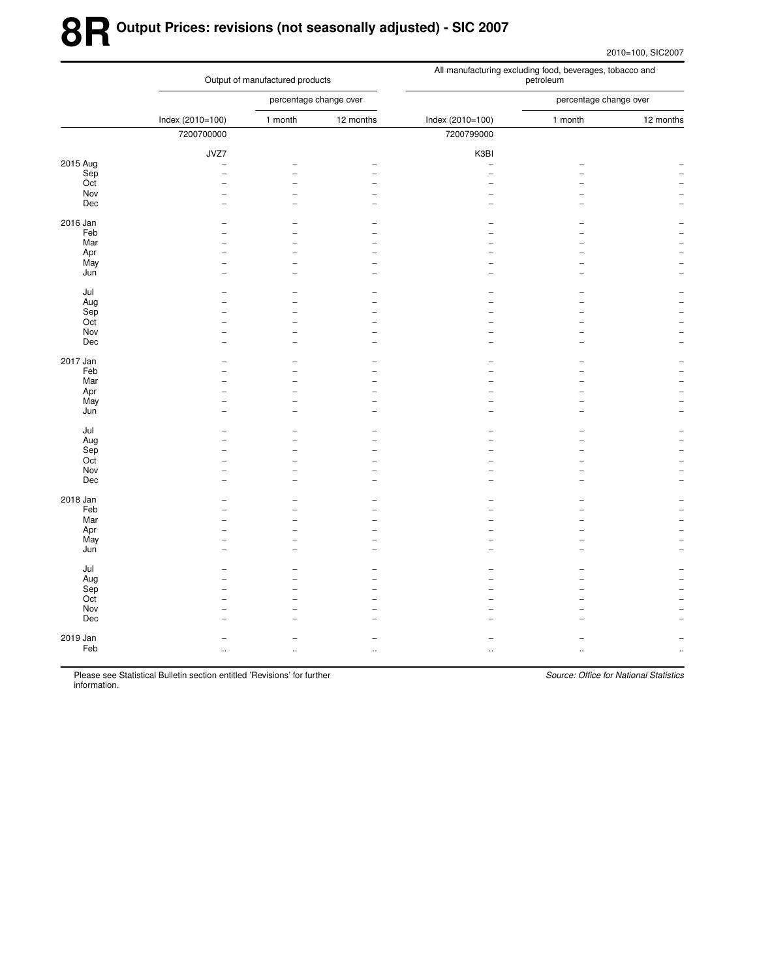# **8R Output Prices: revisions (not seasonally adjusted) - SIC 2007**

2010=100, SIC2007

|          |                          | Output of manufactured products |                      | All manufacturing excluding food, beverages, tobacco and<br>petroleum |                        |           |  |  |  |
|----------|--------------------------|---------------------------------|----------------------|-----------------------------------------------------------------------|------------------------|-----------|--|--|--|
|          |                          | percentage change over          |                      |                                                                       | percentage change over |           |  |  |  |
|          | Index (2010=100)         | 1 month                         | 12 months            | Index (2010=100)                                                      | 1 month                | 12 months |  |  |  |
|          | 7200700000               |                                 |                      | 7200799000                                                            |                        |           |  |  |  |
|          | JVZ7                     |                                 |                      | K3BI                                                                  |                        |           |  |  |  |
| 2015 Aug | L.                       |                                 |                      | $\overline{\phantom{0}}$                                              |                        |           |  |  |  |
| Sep      | $\overline{\phantom{a}}$ | ۳                               |                      | $\overline{a}$                                                        |                        |           |  |  |  |
| Oct      |                          |                                 |                      |                                                                       |                        |           |  |  |  |
| Nov      |                          | ۳                               |                      |                                                                       |                        |           |  |  |  |
| Dec      |                          |                                 |                      |                                                                       |                        |           |  |  |  |
| 2016 Jan |                          |                                 |                      |                                                                       |                        |           |  |  |  |
| Feb      |                          |                                 |                      |                                                                       |                        |           |  |  |  |
| Mar      |                          |                                 |                      |                                                                       |                        |           |  |  |  |
| Apr      |                          |                                 |                      |                                                                       |                        |           |  |  |  |
| May      |                          | $\overline{\phantom{0}}$        |                      |                                                                       |                        |           |  |  |  |
| Jun      |                          |                                 |                      |                                                                       |                        |           |  |  |  |
| Jul      |                          |                                 |                      |                                                                       |                        |           |  |  |  |
| Aug      |                          |                                 |                      |                                                                       |                        |           |  |  |  |
| Sep      |                          |                                 |                      |                                                                       |                        |           |  |  |  |
| Oct      |                          |                                 |                      |                                                                       |                        |           |  |  |  |
| Nov      |                          |                                 |                      |                                                                       |                        |           |  |  |  |
| Dec      |                          |                                 |                      |                                                                       |                        |           |  |  |  |
| 2017 Jan |                          |                                 |                      |                                                                       |                        |           |  |  |  |
| Feb      |                          |                                 |                      |                                                                       |                        |           |  |  |  |
| Mar      |                          |                                 |                      |                                                                       |                        |           |  |  |  |
| Apr      |                          |                                 |                      |                                                                       |                        |           |  |  |  |
| May      |                          | ۳                               |                      |                                                                       |                        |           |  |  |  |
| Jun      |                          | ۳                               |                      |                                                                       |                        |           |  |  |  |
| Jul      |                          |                                 |                      |                                                                       |                        |           |  |  |  |
| Aug      |                          |                                 |                      |                                                                       |                        |           |  |  |  |
| Sep      |                          |                                 |                      |                                                                       |                        |           |  |  |  |
| Oct      |                          |                                 |                      |                                                                       |                        |           |  |  |  |
| Nov      |                          | $\overline{\phantom{a}}$        |                      |                                                                       |                        |           |  |  |  |
| Dec      |                          |                                 |                      |                                                                       |                        |           |  |  |  |
| 2018 Jan |                          |                                 |                      |                                                                       |                        |           |  |  |  |
| Feb      |                          |                                 |                      |                                                                       |                        |           |  |  |  |
| Mar      |                          |                                 |                      |                                                                       |                        |           |  |  |  |
| Apr      |                          |                                 |                      |                                                                       |                        |           |  |  |  |
| May      |                          |                                 |                      |                                                                       |                        |           |  |  |  |
| Jun      |                          |                                 |                      |                                                                       |                        |           |  |  |  |
| Jul      |                          |                                 |                      |                                                                       |                        |           |  |  |  |
| Aug      |                          |                                 |                      |                                                                       |                        |           |  |  |  |
| Sep      |                          |                                 |                      |                                                                       |                        |           |  |  |  |
| Oct      |                          |                                 |                      |                                                                       |                        |           |  |  |  |
| Nov      |                          |                                 |                      |                                                                       |                        |           |  |  |  |
| Dec      |                          |                                 |                      |                                                                       |                        |           |  |  |  |
|          |                          |                                 |                      |                                                                       |                        |           |  |  |  |
| 2019 Jan |                          |                                 |                      |                                                                       |                        |           |  |  |  |
| Feb      | $\ddot{\phantom{a}}$     | $\ddotsc$                       | $\ddot{\phantom{a}}$ | ä.                                                                    |                        |           |  |  |  |
|          |                          |                                 |                      |                                                                       |                        |           |  |  |  |

Please see Statistical Bulletin section entitled 'Revisions' for further information.

Source: Office for National Statistics